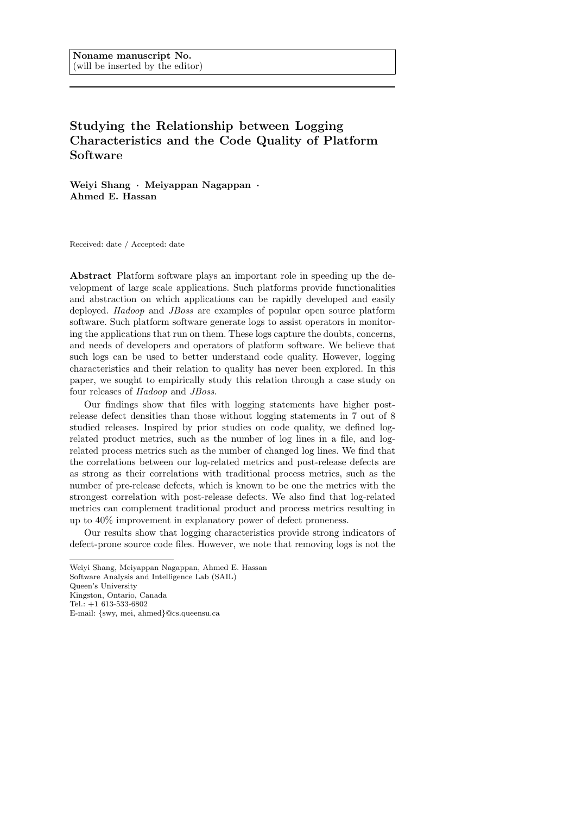# Studying the Relationship between Logging Characteristics and the Code Quality of Platform Software

Weiyi Shang · Meiyappan Nagappan · Ahmed E. Hassan

Received: date / Accepted: date

Abstract Platform software plays an important role in speeding up the development of large scale applications. Such platforms provide functionalities and abstraction on which applications can be rapidly developed and easily deployed. Hadoop and JBoss are examples of popular open source platform software. Such platform software generate logs to assist operators in monitoring the applications that run on them. These logs capture the doubts, concerns, and needs of developers and operators of platform software. We believe that such logs can be used to better understand code quality. However, logging characteristics and their relation to quality has never been explored. In this paper, we sought to empirically study this relation through a case study on four releases of Hadoop and JBoss.

Our findings show that files with logging statements have higher postrelease defect densities than those without logging statements in 7 out of 8 studied releases. Inspired by prior studies on code quality, we defined logrelated product metrics, such as the number of log lines in a file, and logrelated process metrics such as the number of changed log lines. We find that the correlations between our log-related metrics and post-release defects are as strong as their correlations with traditional process metrics, such as the number of pre-release defects, which is known to be one the metrics with the strongest correlation with post-release defects. We also find that log-related metrics can complement traditional product and process metrics resulting in up to 40% improvement in explanatory power of defect proneness.

Our results show that logging characteristics provide strong indicators of defect-prone source code files. However, we note that removing logs is not the

E-mail: {swy, mei, ahmed}@cs.queensu.ca

Weiyi Shang, Meiyappan Nagappan, Ahmed E. Hassan Software Analysis and Intelligence Lab (SAIL) Queen's University Kingston, Ontario, Canada Tel.: +1 613-533-6802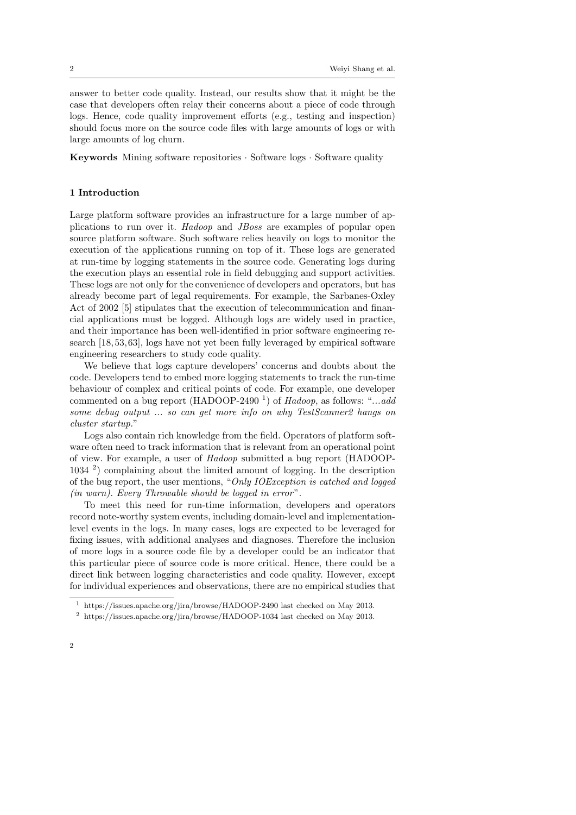answer to better code quality. Instead, our results show that it might be the case that developers often relay their concerns about a piece of code through logs. Hence, code quality improvement efforts (e.g., testing and inspection) should focus more on the source code files with large amounts of logs or with large amounts of log churn.

Keywords Mining software repositories · Software logs · Software quality

### 1 Introduction

Large platform software provides an infrastructure for a large number of applications to run over it. Hadoop and JBoss are examples of popular open source platform software. Such software relies heavily on logs to monitor the execution of the applications running on top of it. These logs are generated at run-time by logging statements in the source code. Generating logs during the execution plays an essential role in field debugging and support activities. These logs are not only for the convenience of developers and operators, but has already become part of legal requirements. For example, the Sarbanes-Oxley Act of 2002 [5] stipulates that the execution of telecommunication and financial applications must be logged. Although logs are widely used in practice, and their importance has been well-identified in prior software engineering research [18, 53, 63], logs have not yet been fully leveraged by empirical software engineering researchers to study code quality.

We believe that logs capture developers' concerns and doubts about the code. Developers tend to embed more logging statements to track the run-time behaviour of complex and critical points of code. For example, one developer commented on a bug report (HADOOP-2490<sup>1</sup>) of  $Hadoop$ , as follows: "...add some debug output ... so can get more info on why TestScanner2 hangs on cluster startup."

Logs also contain rich knowledge from the field. Operators of platform software often need to track information that is relevant from an operational point of view. For example, a user of Hadoop submitted a bug report (HADOOP-1034 <sup>2</sup> ) complaining about the limited amount of logging. In the description of the bug report, the user mentions, "Only IOException is catched and logged (in warn). Every Throwable should be logged in error".

To meet this need for run-time information, developers and operators record note-worthy system events, including domain-level and implementationlevel events in the logs. In many cases, logs are expected to be leveraged for fixing issues, with additional analyses and diagnoses. Therefore the inclusion of more logs in a source code file by a developer could be an indicator that this particular piece of source code is more critical. Hence, there could be a direct link between logging characteristics and code quality. However, except for individual experiences and observations, there are no empirical studies that

<sup>1</sup> https://issues.apache.org/jira/browse/HADOOP-2490 last checked on May 2013.

 $^2\,$  https://issues.apache.org/jira/browse/HADOOP-1034 last checked on May 2013.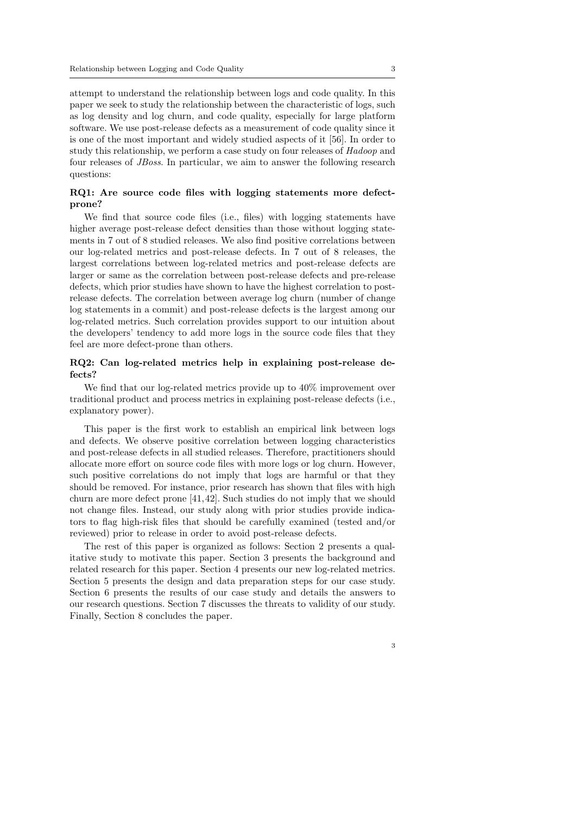3

attempt to understand the relationship between logs and code quality. In this paper we seek to study the relationship between the characteristic of logs, such as log density and log churn, and code quality, especially for large platform software. We use post-release defects as a measurement of code quality since it is one of the most important and widely studied aspects of it [56]. In order to study this relationship, we perform a case study on four releases of Hadoop and four releases of JBoss. In particular, we aim to answer the following research questions:

# RQ1: Are source code files with logging statements more defectprone?

We find that source code files (i.e., files) with logging statements have higher average post-release defect densities than those without logging statements in 7 out of 8 studied releases. We also find positive correlations between our log-related metrics and post-release defects. In 7 out of 8 releases, the largest correlations between log-related metrics and post-release defects are larger or same as the correlation between post-release defects and pre-release defects, which prior studies have shown to have the highest correlation to postrelease defects. The correlation between average log churn (number of change log statements in a commit) and post-release defects is the largest among our log-related metrics. Such correlation provides support to our intuition about the developers' tendency to add more logs in the source code files that they feel are more defect-prone than others.

# RQ2: Can log-related metrics help in explaining post-release defects?

We find that our log-related metrics provide up to  $40\%$  improvement over traditional product and process metrics in explaining post-release defects (i.e., explanatory power).

This paper is the first work to establish an empirical link between logs and defects. We observe positive correlation between logging characteristics and post-release defects in all studied releases. Therefore, practitioners should allocate more effort on source code files with more logs or log churn. However, such positive correlations do not imply that logs are harmful or that they should be removed. For instance, prior research has shown that files with high churn are more defect prone [41,42]. Such studies do not imply that we should not change files. Instead, our study along with prior studies provide indicators to flag high-risk files that should be carefully examined (tested and/or reviewed) prior to release in order to avoid post-release defects.

The rest of this paper is organized as follows: Section 2 presents a qualitative study to motivate this paper. Section 3 presents the background and related research for this paper. Section 4 presents our new log-related metrics. Section 5 presents the design and data preparation steps for our case study. Section 6 presents the results of our case study and details the answers to our research questions. Section 7 discusses the threats to validity of our study. Finally, Section 8 concludes the paper.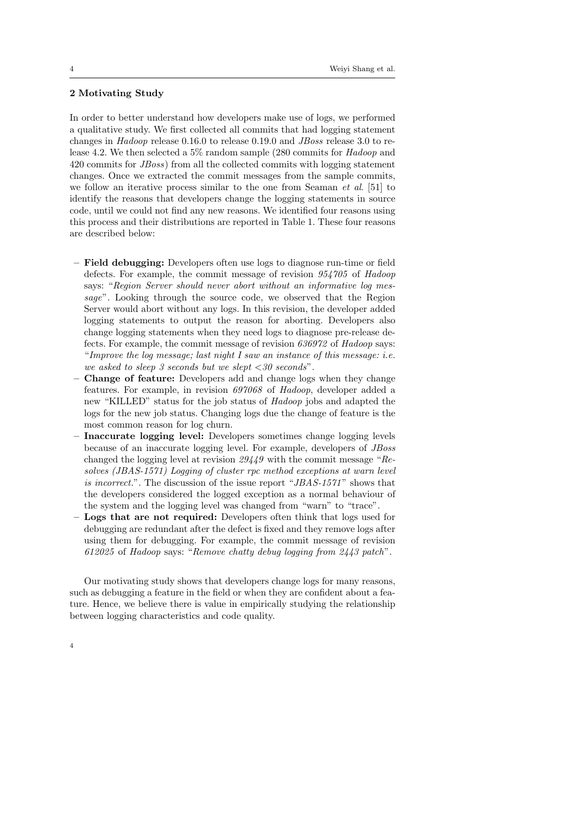## 2 Motivating Study

In order to better understand how developers make use of logs, we performed a qualitative study. We first collected all commits that had logging statement changes in Hadoop release 0.16.0 to release 0.19.0 and JBoss release 3.0 to release 4.2. We then selected a 5% random sample (280 commits for Hadoop and 420 commits for JBoss) from all the collected commits with logging statement changes. Once we extracted the commit messages from the sample commits, we follow an iterative process similar to the one from Seaman  $et \ al.$  [51] to identify the reasons that developers change the logging statements in source code, until we could not find any new reasons. We identified four reasons using this process and their distributions are reported in Table 1. These four reasons are described below:

- Field debugging: Developers often use logs to diagnose run-time or field defects. For example, the commit message of revision 954705 of Hadoop says: "Region Server should never abort without an informative log message". Looking through the source code, we observed that the Region Server would abort without any logs. In this revision, the developer added logging statements to output the reason for aborting. Developers also change logging statements when they need logs to diagnose pre-release defects. For example, the commit message of revision 636972 of Hadoop says: "Improve the log message: last night I saw an instance of this message: *i.e.* we asked to sleep 3 seconds but we slept  $\langle 30 \text{ seconds} \rangle$ .
- Change of feature: Developers add and change logs when they change features. For example, in revision 697068 of Hadoop, developer added a new "KILLED" status for the job status of Hadoop jobs and adapted the logs for the new job status. Changing logs due the change of feature is the most common reason for log churn.
- Inaccurate logging level: Developers sometimes change logging levels because of an inaccurate logging level. For example, developers of JBoss changed the logging level at revision  $29449$  with the commit message "Resolves (JBAS-1571) Logging of cluster rpc method exceptions at warn level is incorrect.". The discussion of the issue report " $JBAS-1571$ " shows that the developers considered the logged exception as a normal behaviour of the system and the logging level was changed from "warn" to "trace".
- Logs that are not required: Developers often think that logs used for debugging are redundant after the defect is fixed and they remove logs after using them for debugging. For example, the commit message of revision 612025 of Hadoop says: "Remove chatty debug logging from 2443 patch".

Our motivating study shows that developers change logs for many reasons, such as debugging a feature in the field or when they are confident about a feature. Hence, we believe there is value in empirically studying the relationship between logging characteristics and code quality.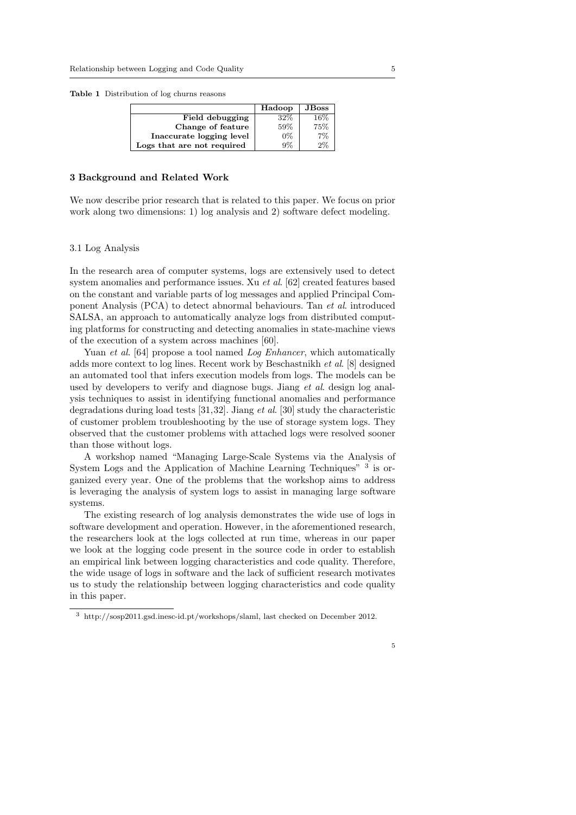Table 1 Distribution of log churns reasons

|                            | Hadoop | <b>JBoss</b> |
|----------------------------|--------|--------------|
| Field debugging            | $32\%$ | $16\%$       |
| Change of feature          | 59%    | 75%          |
| Inaccurate logging level   | $0\%$  | 7%           |
| Logs that are not required | q%     | 2%           |

#### 3 Background and Related Work

We now describe prior research that is related to this paper. We focus on prior work along two dimensions: 1) log analysis and 2) software defect modeling.

## 3.1 Log Analysis

In the research area of computer systems, logs are extensively used to detect system anomalies and performance issues. Xu et al. [62] created features based on the constant and variable parts of log messages and applied Principal Component Analysis (PCA) to detect abnormal behaviours. Tan et al. introduced SALSA, an approach to automatically analyze logs from distributed computing platforms for constructing and detecting anomalies in state-machine views of the execution of a system across machines [60].

Yuan *et al.* [64] propose a tool named *Log Enhancer*, which automatically adds more context to log lines. Recent work by Beschastnikh et al. [8] designed an automated tool that infers execution models from logs. The models can be used by developers to verify and diagnose bugs. Jiang *et al.* design log analysis techniques to assist in identifying functional anomalies and performance degradations during load tests  $[31,32]$ . Jiang *et al.* [30] study the characteristic of customer problem troubleshooting by the use of storage system logs. They observed that the customer problems with attached logs were resolved sooner than those without logs.

A workshop named "Managing Large-Scale Systems via the Analysis of System Logs and the Application of Machine Learning Techniques"<sup>3</sup> is organized every year. One of the problems that the workshop aims to address is leveraging the analysis of system logs to assist in managing large software systems.

The existing research of log analysis demonstrates the wide use of logs in software development and operation. However, in the aforementioned research, the researchers look at the logs collected at run time, whereas in our paper we look at the logging code present in the source code in order to establish an empirical link between logging characteristics and code quality. Therefore, the wide usage of logs in software and the lack of sufficient research motivates us to study the relationship between logging characteristics and code quality in this paper.

 $^3\,$  http://sosp2011.gsd.inesc-id.pt/workshops/slaml, last checked on December 2012.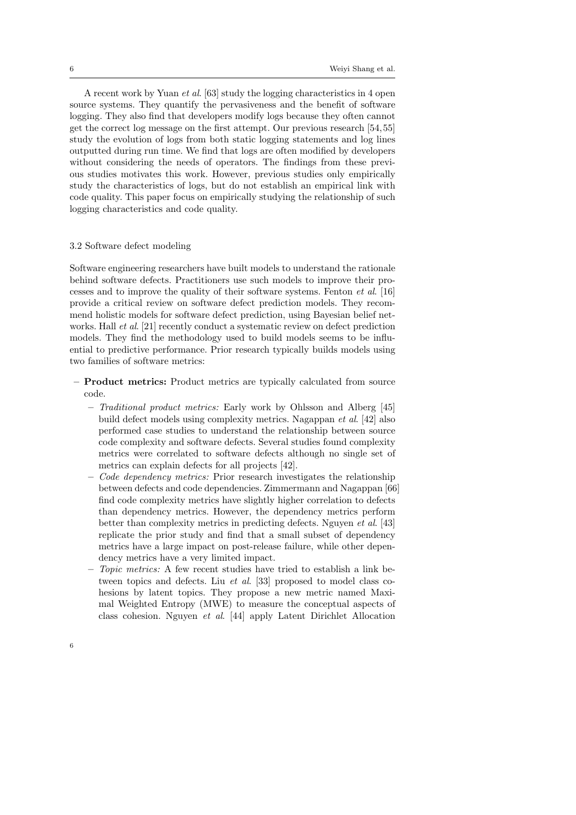A recent work by Yuan et al. [63] study the logging characteristics in 4 open source systems. They quantify the pervasiveness and the benefit of software logging. They also find that developers modify logs because they often cannot get the correct log message on the first attempt. Our previous research [54,55] study the evolution of logs from both static logging statements and log lines outputted during run time. We find that logs are often modified by developers without considering the needs of operators. The findings from these previous studies motivates this work. However, previous studies only empirically study the characteristics of logs, but do not establish an empirical link with code quality. This paper focus on empirically studying the relationship of such logging characteristics and code quality.

#### 3.2 Software defect modeling

Software engineering researchers have built models to understand the rationale behind software defects. Practitioners use such models to improve their processes and to improve the quality of their software systems. Fenton et al. [16] provide a critical review on software defect prediction models. They recommend holistic models for software defect prediction, using Bayesian belief networks. Hall *et al.* [21] recently conduct a systematic review on defect prediction models. They find the methodology used to build models seems to be influential to predictive performance. Prior research typically builds models using two families of software metrics:

- Product metrics: Product metrics are typically calculated from source code.
	- Traditional product metrics: Early work by Ohlsson and Alberg [45] build defect models using complexity metrics. Nagappan et al. [42] also performed case studies to understand the relationship between source code complexity and software defects. Several studies found complexity metrics were correlated to software defects although no single set of metrics can explain defects for all projects [42].
	- Code dependency metrics: Prior research investigates the relationship between defects and code dependencies. Zimmermann and Nagappan [66] find code complexity metrics have slightly higher correlation to defects than dependency metrics. However, the dependency metrics perform better than complexity metrics in predicting defects. Nguyen et al. [43] replicate the prior study and find that a small subset of dependency metrics have a large impact on post-release failure, while other dependency metrics have a very limited impact.
	- Topic metrics: A few recent studies have tried to establish a link between topics and defects. Liu *et al.* [33] proposed to model class cohesions by latent topics. They propose a new metric named Maximal Weighted Entropy (MWE) to measure the conceptual aspects of class cohesion. Nguyen et al. [44] apply Latent Dirichlet Allocation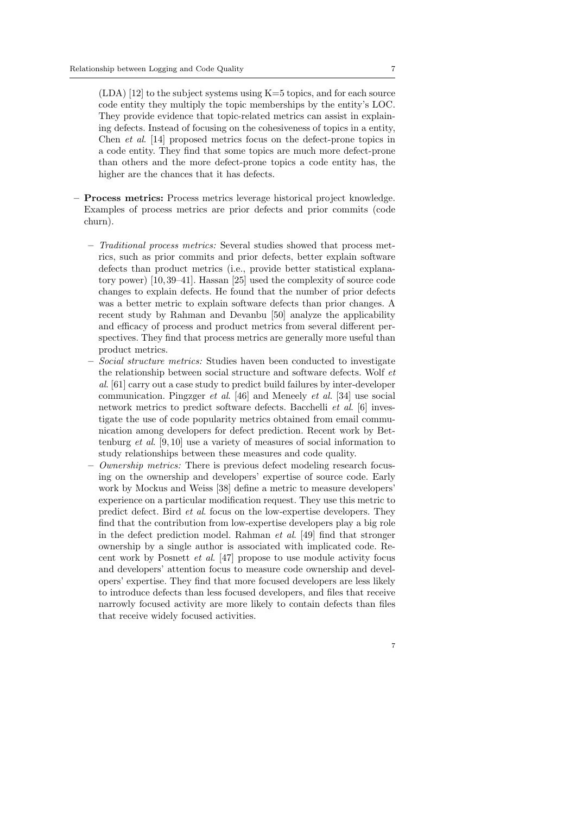(LDA) [12] to the subject systems using K=5 topics, and for each source code entity they multiply the topic memberships by the entity's LOC. They provide evidence that topic-related metrics can assist in explaining defects. Instead of focusing on the cohesiveness of topics in a entity, Chen et al. [14] proposed metrics focus on the defect-prone topics in a code entity. They find that some topics are much more defect-prone than others and the more defect-prone topics a code entity has, the higher are the chances that it has defects.

- Process metrics: Process metrics leverage historical project knowledge. Examples of process metrics are prior defects and prior commits (code churn).
	- Traditional process metrics: Several studies showed that process metrics, such as prior commits and prior defects, better explain software defects than product metrics (i.e., provide better statistical explanatory power) [10, 39–41]. Hassan [25] used the complexity of source code changes to explain defects. He found that the number of prior defects was a better metric to explain software defects than prior changes. A recent study by Rahman and Devanbu [50] analyze the applicability and efficacy of process and product metrics from several different perspectives. They find that process metrics are generally more useful than product metrics.
	- Social structure metrics: Studies haven been conducted to investigate the relationship between social structure and software defects. Wolf et al. [61] carry out a case study to predict build failures by inter-developer communication. Pingzger et al. [46] and Meneely et al. [34] use social network metrics to predict software defects. Bacchelli et al. [6] investigate the use of code popularity metrics obtained from email communication among developers for defect prediction. Recent work by Bettenburg et al. [9, 10] use a variety of measures of social information to study relationships between these measures and code quality.
	- Ownership metrics: There is previous defect modeling research focusing on the ownership and developers' expertise of source code. Early work by Mockus and Weiss [38] define a metric to measure developers' experience on a particular modification request. They use this metric to predict defect. Bird et al. focus on the low-expertise developers. They find that the contribution from low-expertise developers play a big role in the defect prediction model. Rahman et al. [49] find that stronger ownership by a single author is associated with implicated code. Recent work by Posnett et al. [47] propose to use module activity focus and developers' attention focus to measure code ownership and developers' expertise. They find that more focused developers are less likely to introduce defects than less focused developers, and files that receive narrowly focused activity are more likely to contain defects than files that receive widely focused activities.

7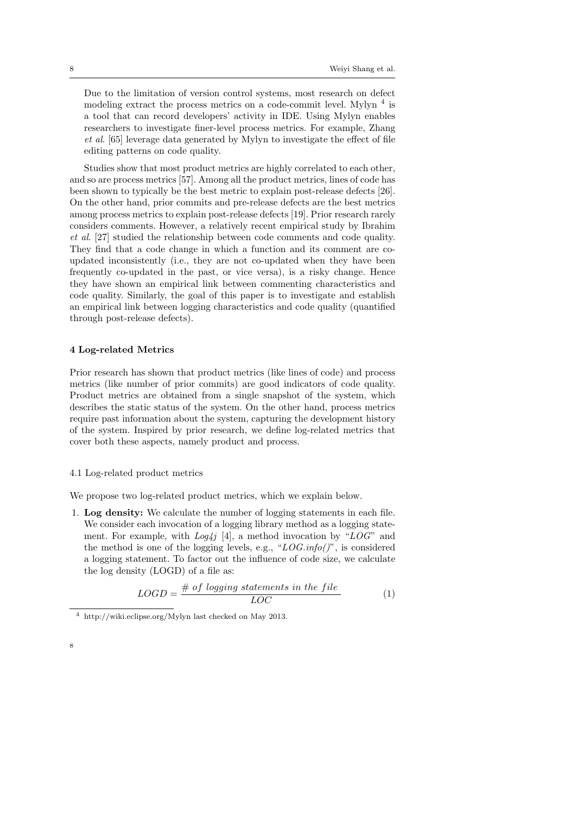Due to the limitation of version control systems, most research on defect modeling extract the process metrics on a code-commit level. Mylyn<sup>4</sup> is a tool that can record developers' activity in IDE. Using Mylyn enables researchers to investigate finer-level process metrics. For example, Zhang et al. [65] leverage data generated by Mylyn to investigate the effect of file editing patterns on code quality.

Studies show that most product metrics are highly correlated to each other, and so are process metrics [57]. Among all the product metrics, lines of code has been shown to typically be the best metric to explain post-release defects [26]. On the other hand, prior commits and pre-release defects are the best metrics among process metrics to explain post-release defects [19]. Prior research rarely considers comments. However, a relatively recent empirical study by Ibrahim et al. [27] studied the relationship between code comments and code quality. They find that a code change in which a function and its comment are coupdated inconsistently (i.e., they are not co-updated when they have been frequently co-updated in the past, or vice versa), is a risky change. Hence they have shown an empirical link between commenting characteristics and code quality. Similarly, the goal of this paper is to investigate and establish an empirical link between logging characteristics and code quality (quantified through post-release defects).

#### 4 Log-related Metrics

Prior research has shown that product metrics (like lines of code) and process metrics (like number of prior commits) are good indicators of code quality. Product metrics are obtained from a single snapshot of the system, which describes the static status of the system. On the other hand, process metrics require past information about the system, capturing the development history of the system. Inspired by prior research, we define log-related metrics that cover both these aspects, namely product and process.

## 4.1 Log-related product metrics

We propose two log-related product metrics, which we explain below.

1. Log density: We calculate the number of logging statements in each file. We consider each invocation of a logging library method as a logging statement. For example, with  $Log4j$  [4], a method invocation by "LOG" and the method is one of the logging levels, e.g., " $LOG.info()$ ", is considered a logging statement. To factor out the influence of code size, we calculate the log density (LOGD) of a file as:

$$
LOGD = \frac{\# \ of \ logging \ statements \ in \ the \ file}{LOC} \tag{1}
$$

<sup>4</sup> http://wiki.eclipse.org/Mylyn last checked on May 2013.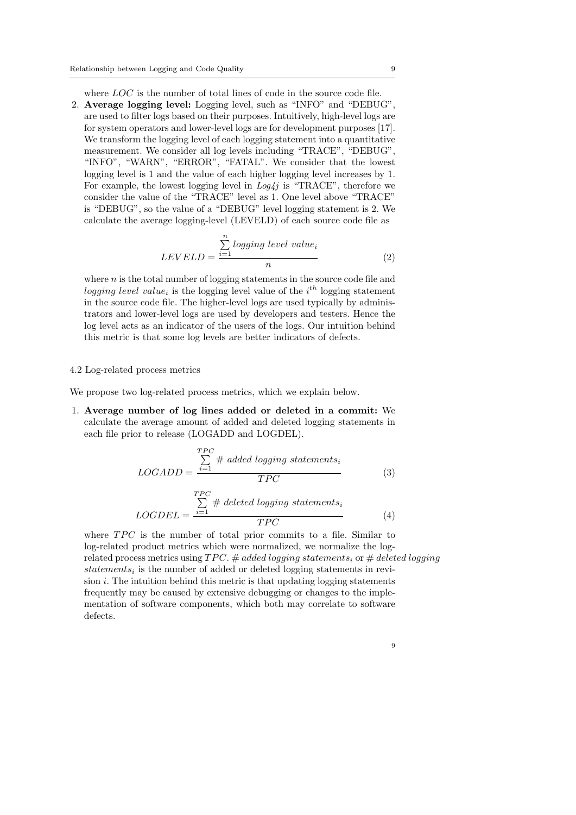where  $LOC$  is the number of total lines of code in the source code file.

2. Average logging level: Logging level, such as "INFO" and "DEBUG", are used to filter logs based on their purposes. Intuitively, high-level logs are for system operators and lower-level logs are for development purposes [17]. We transform the logging level of each logging statement into a quantitative measurement. We consider all log levels including "TRACE", "DEBUG", "INFO", "WARN", "ERROR", "FATAL". We consider that the lowest logging level is 1 and the value of each higher logging level increases by 1. For example, the lowest logging level in  $Log4j$  is "TRACE", therefore we consider the value of the "TRACE" level as 1. One level above "TRACE" is "DEBUG", so the value of a "DEBUG" level logging statement is 2. We calculate the average logging-level (LEVELD) of each source code file as

$$
LEVELD = \frac{\sum_{i=1}^{n} logging level value_{i}}{n}
$$
 (2)

where  $n$  is the total number of logging statements in the source code file and logging level value<sub>i</sub> is the logging level value of the  $i<sup>th</sup>$  logging statement in the source code file. The higher-level logs are used typically by administrators and lower-level logs are used by developers and testers. Hence the log level acts as an indicator of the users of the logs. Our intuition behind this metric is that some log levels are better indicators of defects.

## 4.2 Log-related process metrics

We propose two log-related process metrics, which we explain below.

1. Average number of log lines added or deleted in a commit: We calculate the average amount of added and deleted logging statements in each file prior to release (LOGADD and LOGDEL).

$$
LOGADD = \frac{\sum_{i=1}^{TPC} \# added logging statements_i}{TPC}
$$
 (3)

$$
LOGDEL = \frac{\sum_{i=1}^{TPC} \# deleted logging statements_i}{TPC}
$$
 (4)

where  $TPC$  is the number of total prior commits to a file. Similar to log-related product metrics which were normalized, we normalize the logrelated process metrics using  $TPC.$  # added logging statements<sub>i</sub> or # deleted logging  $statements_i$  is the number of added or deleted logging statements in revision  $i$ . The intuition behind this metric is that updating logging statements frequently may be caused by extensive debugging or changes to the implementation of software components, which both may correlate to software defects.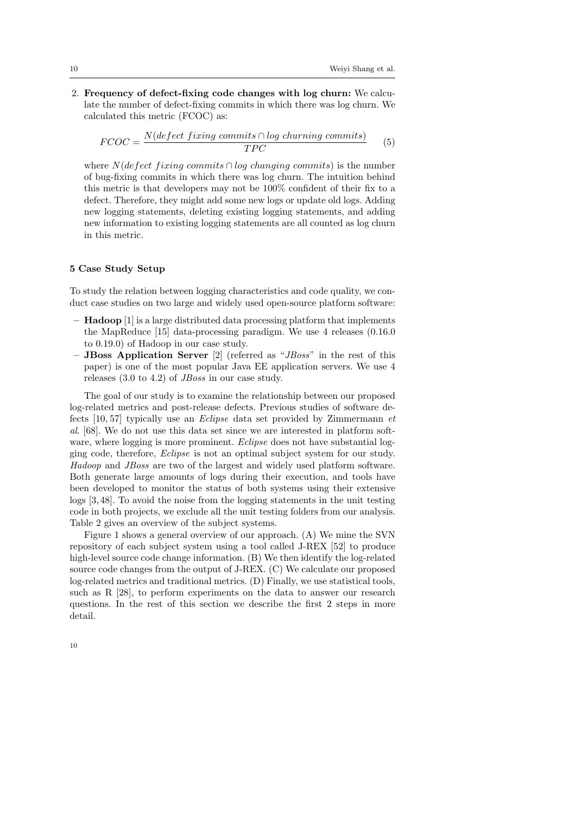2. Frequency of defect-fixing code changes with log churn: We calculate the number of defect-fixing commits in which there was log churn. We calculated this metric (FCOC) as:

$$
FCOC = \frac{N(defect \ fixing \ commits \cap log \ churning \ commits)}{TPC}
$$
 (5)

where  $N(defect \, fixing \, commits \cap log \, changing \, commits)$  is the number of bug-fixing commits in which there was log churn. The intuition behind this metric is that developers may not be 100% confident of their fix to a defect. Therefore, they might add some new logs or update old logs. Adding new logging statements, deleting existing logging statements, and adding new information to existing logging statements are all counted as log churn in this metric.

#### 5 Case Study Setup

To study the relation between logging characteristics and code quality, we conduct case studies on two large and widely used open-source platform software:

- $-$  **Hadoop** [1] is a large distributed data processing platform that implements the MapReduce [15] data-processing paradigm. We use 4 releases (0.16.0 to 0.19.0) of Hadoop in our case study.
- **JBoss Application Server** [2] (referred as "*JBoss*" in the rest of this paper) is one of the most popular Java EE application servers. We use 4 releases (3.0 to 4.2) of JBoss in our case study.

The goal of our study is to examine the relationship between our proposed log-related metrics and post-release defects. Previous studies of software defects [10, 57] typically use an Eclipse data set provided by Zimmermann et al. [68]. We do not use this data set since we are interested in platform software, where logging is more prominent. *Eclipse* does not have substantial logging code, therefore, Eclipse is not an optimal subject system for our study. Hadoop and JBoss are two of the largest and widely used platform software. Both generate large amounts of logs during their execution, and tools have been developed to monitor the status of both systems using their extensive logs [3, 48]. To avoid the noise from the logging statements in the unit testing code in both projects, we exclude all the unit testing folders from our analysis. Table 2 gives an overview of the subject systems.

Figure 1 shows a general overview of our approach. (A) We mine the SVN repository of each subject system using a tool called J-REX [52] to produce high-level source code change information. (B) We then identify the log-related source code changes from the output of J-REX. (C) We calculate our proposed log-related metrics and traditional metrics. (D) Finally, we use statistical tools, such as R [28], to perform experiments on the data to answer our research questions. In the rest of this section we describe the first 2 steps in more detail.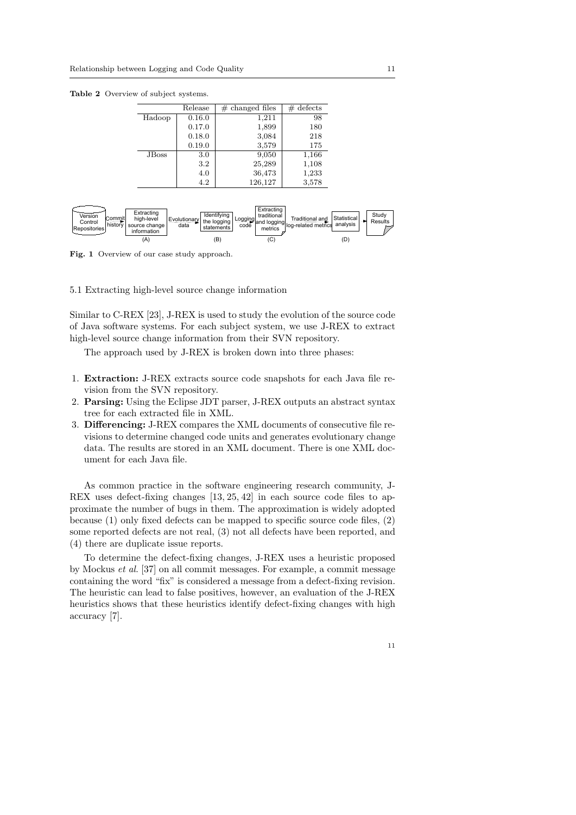|               | Release | $#$ changed files | $#$ defects |
|---------------|---------|-------------------|-------------|
| Hadoop        | 0.16.0  | 1,211             | 98          |
|               | 0.17.0  | 1,899             | 180         |
|               | 0.18.0  | 3,084             | 218         |
|               | 0.19.0  | 3,579             | 175         |
| <b>JB</b> oss | 3.0     | 9,050             | 1,166       |
|               | 3.2     | 25,289            | 1,108       |
|               | 4.0     | 36,473            | 1,233       |
|               | 4.2     | 126,127           | 3,578       |





Fig. 1 Overview of our case study approach.

5.1 Extracting high-level source change information

Similar to C-REX [23], J-REX is used to study the evolution of the source code of Java software systems. For each subject system, we use J-REX to extract high-level source change information from their SVN repository.

The approach used by J-REX is broken down into three phases:

- 1. Extraction: J-REX extracts source code snapshots for each Java file revision from the SVN repository.
- 2. Parsing: Using the Eclipse JDT parser, J-REX outputs an abstract syntax tree for each extracted file in XML.
- 3. Differencing: J-REX compares the XML documents of consecutive file revisions to determine changed code units and generates evolutionary change data. The results are stored in an XML document. There is one XML document for each Java file.

As common practice in the software engineering research community, J-REX uses defect-fixing changes [13, 25, 42] in each source code files to approximate the number of bugs in them. The approximation is widely adopted because (1) only fixed defects can be mapped to specific source code files, (2) some reported defects are not real, (3) not all defects have been reported, and (4) there are duplicate issue reports.

To determine the defect-fixing changes, J-REX uses a heuristic proposed by Mockus et al. [37] on all commit messages. For example, a commit message containing the word "fix" is considered a message from a defect-fixing revision. The heuristic can lead to false positives, however, an evaluation of the J-REX heuristics shows that these heuristics identify defect-fixing changes with high accuracy [7].

11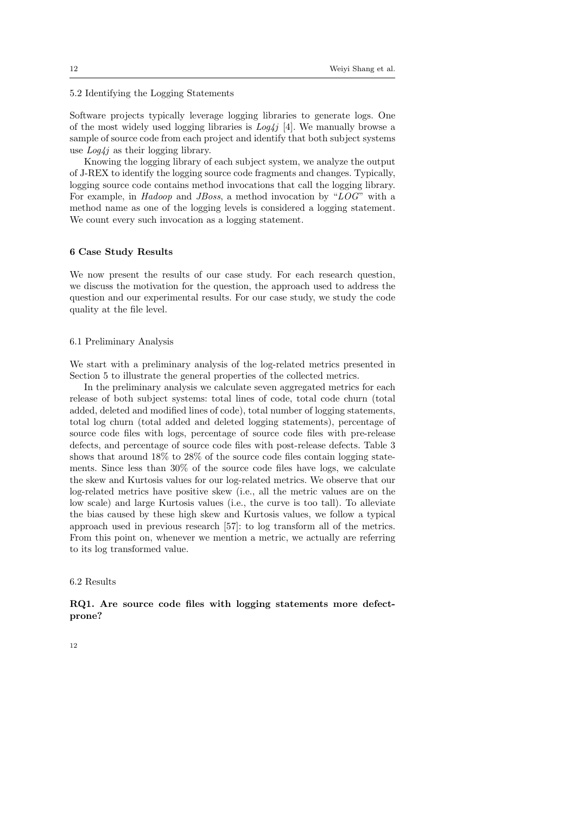## 5.2 Identifying the Logging Statements

Software projects typically leverage logging libraries to generate logs. One of the most widely used logging libraries is  $Log4j$  [4]. We manually browse a sample of source code from each project and identify that both subject systems use  $Log4i$  as their logging library.

Knowing the logging library of each subject system, we analyze the output of J-REX to identify the logging source code fragments and changes. Typically, logging source code contains method invocations that call the logging library. For example, in Hadoop and JBoss, a method invocation by "LOG" with a method name as one of the logging levels is considered a logging statement. We count every such invocation as a logging statement.

## 6 Case Study Results

We now present the results of our case study. For each research question, we discuss the motivation for the question, the approach used to address the question and our experimental results. For our case study, we study the code quality at the file level.

#### 6.1 Preliminary Analysis

We start with a preliminary analysis of the log-related metrics presented in Section 5 to illustrate the general properties of the collected metrics.

In the preliminary analysis we calculate seven aggregated metrics for each release of both subject systems: total lines of code, total code churn (total added, deleted and modified lines of code), total number of logging statements, total log churn (total added and deleted logging statements), percentage of source code files with logs, percentage of source code files with pre-release defects, and percentage of source code files with post-release defects. Table 3 shows that around 18% to 28% of the source code files contain logging statements. Since less than 30% of the source code files have logs, we calculate the skew and Kurtosis values for our log-related metrics. We observe that our log-related metrics have positive skew (i.e., all the metric values are on the low scale) and large Kurtosis values (i.e., the curve is too tall). To alleviate the bias caused by these high skew and Kurtosis values, we follow a typical approach used in previous research [57]: to log transform all of the metrics. From this point on, whenever we mention a metric, we actually are referring to its log transformed value.

#### 6.2 Results

RQ1. Are source code files with logging statements more defectprone?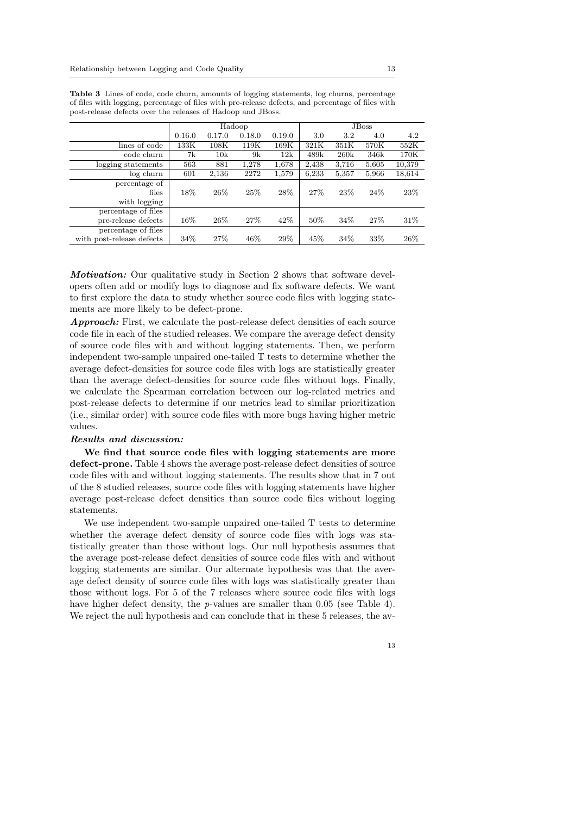|                           | Hadoop |        |        |        | <b>JBoss</b> |       |       |        |
|---------------------------|--------|--------|--------|--------|--------------|-------|-------|--------|
|                           | 0.16.0 | 0.17.0 | 0.18.0 | 0.19.0 | 3.0          | 3.2   | 4.0   | 4.2    |
| lines of code             | 133K   | 108K   | 119K   | 169K   | 321K         | 351K  | 570K  | 552K   |
| code churn                | 7k     | 10k    | 9k     | 12k    | 489k         | 260k  | 346k  | 170K   |
| logging statements        | 563    | 881    | 1,278  | 1,678  | 2,438        | 3,716 | 5.605 | 10,379 |
| log churn                 | 601    | 2,136  | 2272   | 1,579  | 6,233        | 5,357 | 5,966 | 18,614 |
| percentage of             |        |        |        |        |              |       |       |        |
| files                     | 18%    | 26%    | 25\%   | 28%    | 27%          | 23\%  | 24\%  | 23%    |
| with logging              |        |        |        |        |              |       |       |        |
| percentage of files       |        |        |        |        |              |       |       |        |
| pre-release defects       | $16\%$ | $26\%$ | 27\%   | 42\%   | 50%          | 34%   | 27%   | 31\%   |
| percentage of files       |        |        |        |        |              |       |       |        |
| with post-release defects | 34\%   | 27%    | 46%    | 29%    | 45%          | 34%   | 33%   | 26%    |

Table 3 Lines of code, code churn, amounts of logging statements, log churns, percentage of files with logging, percentage of files with pre-release defects, and percentage of files with post-release defects over the releases of Hadoop and JBoss.

*Motivation:* Our qualitative study in Section 2 shows that software developers often add or modify logs to diagnose and fix software defects. We want to first explore the data to study whether source code files with logging statements are more likely to be defect-prone.

Approach: First, we calculate the post-release defect densities of each source code file in each of the studied releases. We compare the average defect density of source code files with and without logging statements. Then, we perform independent two-sample unpaired one-tailed T tests to determine whether the average defect-densities for source code files with logs are statistically greater than the average defect-densities for source code files without logs. Finally, we calculate the Spearman correlation between our log-related metrics and post-release defects to determine if our metrics lead to similar prioritization (i.e., similar order) with source code files with more bugs having higher metric values.

#### Results and discussion:

We find that source code files with logging statements are more defect-prone. Table 4 shows the average post-release defect densities of source code files with and without logging statements. The results show that in 7 out of the 8 studied releases, source code files with logging statements have higher average post-release defect densities than source code files without logging statements.

We use independent two-sample unpaired one-tailed T tests to determine whether the average defect density of source code files with logs was statistically greater than those without logs. Our null hypothesis assumes that the average post-release defect densities of source code files with and without logging statements are similar. Our alternate hypothesis was that the average defect density of source code files with logs was statistically greater than those without logs. For 5 of the 7 releases where source code files with logs have higher defect density, the *p*-values are smaller than 0.05 (see Table 4). We reject the null hypothesis and can conclude that in these 5 releases, the av-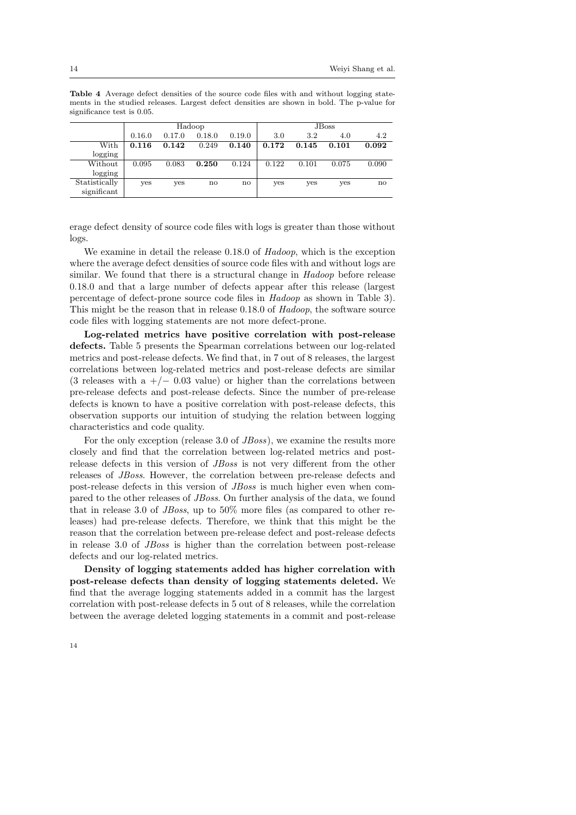|               |        |        | Hadoop |              | <b>J</b> B <sub>oss</sub> |       |       |                        |
|---------------|--------|--------|--------|--------------|---------------------------|-------|-------|------------------------|
|               | 0.16.0 | 0.17.0 | 0.18.0 | 0.19.0       | 3.0                       | 3.2   | 4.0   | 4.2                    |
| With          | 0.116  | 0.142  | 0.249  | 0.140        | 0.172                     | 0.145 | 0.101 | 0.092                  |
| logging       |        |        |        |              |                           |       |       |                        |
| Without       | 0.095  | 0.083  | 0.250  | 0.124        | 0.122                     | 0.101 | 0.075 | 0.090                  |
| logging       |        |        |        |              |                           |       |       |                        |
| Statistically | ves    | yes    | no     | $\mathbf{n}$ | yes                       | yes   | yes   | $\mathbf{n}\mathbf{o}$ |
| significant   |        |        |        |              |                           |       |       |                        |

Table 4 Average defect densities of the source code files with and without logging statements in the studied releases. Largest defect densities are shown in bold. The p-value for significance test is 0.05.

erage defect density of source code files with logs is greater than those without logs.

We examine in detail the release 0.18.0 of Hadoop, which is the exception where the average defect densities of source code files with and without logs are similar. We found that there is a structural change in Hadoop before release 0.18.0 and that a large number of defects appear after this release (largest percentage of defect-prone source code files in Hadoop as shown in Table 3). This might be the reason that in release 0.18.0 of Hadoop, the software source code files with logging statements are not more defect-prone.

Log-related metrics have positive correlation with post-release defects. Table 5 presents the Spearman correlations between our log-related metrics and post-release defects. We find that, in 7 out of 8 releases, the largest correlations between log-related metrics and post-release defects are similar (3 releases with a  $+/-$  0.03 value) or higher than the correlations between pre-release defects and post-release defects. Since the number of pre-release defects is known to have a positive correlation with post-release defects, this observation supports our intuition of studying the relation between logging characteristics and code quality.

For the only exception (release 3.0 of *JBoss*), we examine the results more closely and find that the correlation between log-related metrics and postrelease defects in this version of JBoss is not very different from the other releases of JBoss. However, the correlation between pre-release defects and post-release defects in this version of JBoss is much higher even when compared to the other releases of JBoss. On further analysis of the data, we found that in release 3.0 of JBoss, up to 50% more files (as compared to other releases) had pre-release defects. Therefore, we think that this might be the reason that the correlation between pre-release defect and post-release defects in release 3.0 of JBoss is higher than the correlation between post-release defects and our log-related metrics.

Density of logging statements added has higher correlation with post-release defects than density of logging statements deleted. We find that the average logging statements added in a commit has the largest correlation with post-release defects in 5 out of 8 releases, while the correlation between the average deleted logging statements in a commit and post-release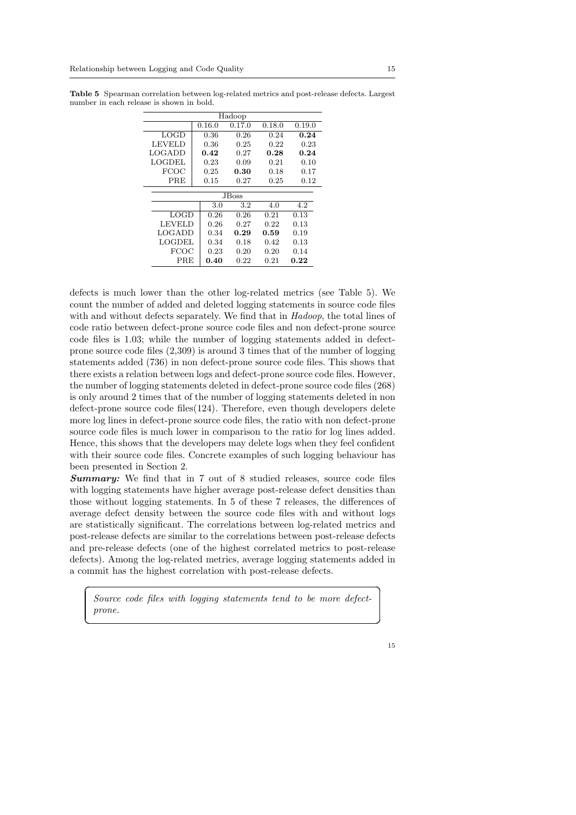| Hadoop            |  |        |               |        |        |  |
|-------------------|--|--------|---------------|--------|--------|--|
|                   |  | 0.16.0 | 0.17.0        | 0.18.0 | 0.19.0 |  |
| $LOG\overline{D}$ |  | 0.36   | 0.26          | 0.24   | 0.24   |  |
| LEVELD            |  | 0.36   | 0.25          | 0.22   | 0.23   |  |
| LOGADD            |  | 0.42   | 0.27          | 0.28   | 0.24   |  |
| LOGDEL            |  | 0.23   | 0.09          | 0.21   | 0.10   |  |
| <b>FCOC</b>       |  | 0.25   | 0.30          | 0.18   | 0.17   |  |
| <b>PRE</b>        |  | 0.15   | 0.27          | 0.25   | 0.12   |  |
|                   |  |        |               |        |        |  |
|                   |  |        | <b>JB</b> oss |        |        |  |
|                   |  | 3.0    | 3.2           | 4.0    | 4.2    |  |
| $LOG\overline{D}$ |  | 0.26   | 0.26          | 0.21   | 0.13   |  |
| LEVELD            |  | 0.26   | 0.27          | 0.22   | 0.13   |  |
| LOGADD            |  | 0.34   | 0.29          | 0.59   | 0.19   |  |
| LOGDEL            |  | 0.34   | 0.18          | 0.42   | 0.13   |  |
| FCOC              |  | 0.23   | 0.20          | 0.20   | 0.14   |  |
| PRE               |  | 0.40   | $0.22\,$      | 0.21   | 0.22   |  |

Table 5 Spearman correlation between log-related metrics and post-release defects. Largest number in each release is shown in bold.

defects is much lower than the other log-related metrics (see Table 5). We count the number of added and deleted logging statements in source code files with and without defects separately. We find that in  $Hadoop$ , the total lines of code ratio between defect-prone source code files and non defect-prone source code files is 1.03; while the number of logging statements added in defectprone source code files (2,309) is around 3 times that of the number of logging statements added (736) in non defect-prone source code files. This shows that there exists a relation between logs and defect-prone source code files. However, the number of logging statements deleted in defect-prone source code files (268) is only around 2 times that of the number of logging statements deleted in non defect-prone source code files(124). Therefore, even though developers delete more log lines in defect-prone source code files, the ratio with non defect-prone source code files is much lower in comparison to the ratio for log lines added. Hence, this shows that the developers may delete logs when they feel confident with their source code files. Concrete examples of such logging behaviour has been presented in Section 2.

Summary: We find that in 7 out of 8 studied releases, source code files with logging statements have higher average post-release defect densities than those without logging statements. In 5 of these 7 releases, the differences of average defect density between the source code files with and without logs are statistically significant. The correlations between log-related metrics and post-release defects are similar to the correlations between post-release defects and pre-release defects (one of the highest correlated metrics to post-release defects). Among the log-related metrics, average logging statements added in a commit has the highest correlation with post-release defects.

Source code files with logging statements tend to be more defectprone.

 $\overline{a}$ 

✝

15

 $\mathbf{a}$ 

✆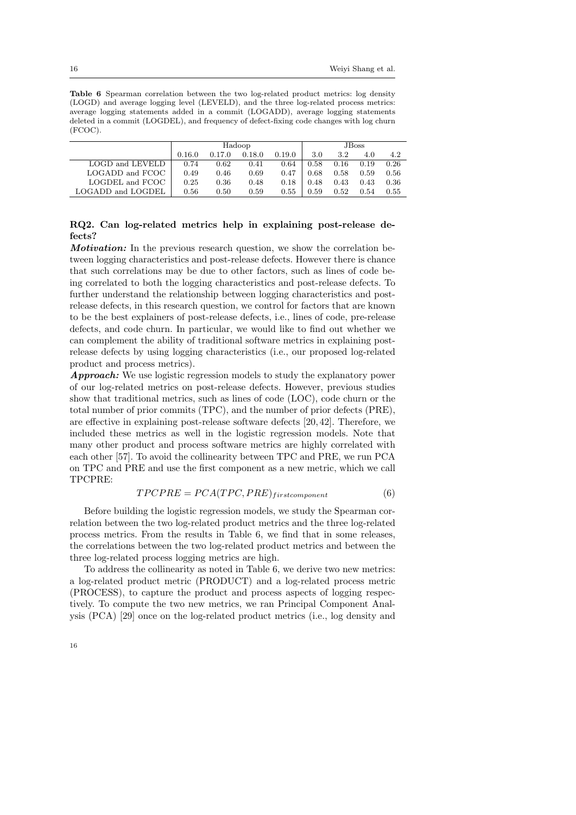Table 6 Spearman correlation between the two log-related product metrics: log density (LOGD) and average logging level (LEVELD), and the three log-related process metrics: average logging statements added in a commit (LOGADD), average logging statements deleted in a commit (LOGDEL), and frequency of defect-fixing code changes with log churn (FCOC).

|                   |        | Hadoop |        |        |      |      | <b>JBoss</b> |      |
|-------------------|--------|--------|--------|--------|------|------|--------------|------|
|                   | 0.16.0 | 0.17.0 | 0.18.0 | 0.19.0 | 3.0  | 3.2  | 4.0          | 4.2  |
| LOGD and LEVELD   | 0.74   | 0.62   | 0.41   | 0.64   | 0.58 | 0.16 | 0.19         | 0.26 |
| LOGADD and FCOC   | 0.49   | 0.46   | 0.69   | 0.47   | 0.68 | 0.58 | 0.59         | 0.56 |
| LOGDEL and FCOC   | 0.25   | 0.36   | 0.48   | 0.18   | 0.48 | 0.43 | 0.43         | 0.36 |
| LOGADD and LOGDEL | 0.56   | 0.50   | 0.59   | 0.55   | 0.59 | 0.52 | 0.54         | 0.55 |

## RQ2. Can log-related metrics help in explaining post-release defects?

Motivation: In the previous research question, we show the correlation between logging characteristics and post-release defects. However there is chance that such correlations may be due to other factors, such as lines of code being correlated to both the logging characteristics and post-release defects. To further understand the relationship between logging characteristics and postrelease defects, in this research question, we control for factors that are known to be the best explainers of post-release defects, i.e., lines of code, pre-release defects, and code churn. In particular, we would like to find out whether we can complement the ability of traditional software metrics in explaining postrelease defects by using logging characteristics (i.e., our proposed log-related product and process metrics).

Approach: We use logistic regression models to study the explanatory power of our log-related metrics on post-release defects. However, previous studies show that traditional metrics, such as lines of code (LOC), code churn or the total number of prior commits (TPC), and the number of prior defects (PRE), are effective in explaining post-release software defects [20, 42]. Therefore, we included these metrics as well in the logistic regression models. Note that many other product and process software metrics are highly correlated with each other [57]. To avoid the collinearity between TPC and PRE, we run PCA on TPC and PRE and use the first component as a new metric, which we call TPCPRE:

$$
TPCPRE = PCA(TPC, PRE)_{firstcomponent}
$$
\n(6)

Before building the logistic regression models, we study the Spearman correlation between the two log-related product metrics and the three log-related process metrics. From the results in Table 6, we find that in some releases, the correlations between the two log-related product metrics and between the three log-related process logging metrics are high.

To address the collinearity as noted in Table 6, we derive two new metrics: a log-related product metric (PRODUCT) and a log-related process metric (PROCESS), to capture the product and process aspects of logging respectively. To compute the two new metrics, we ran Principal Component Analysis (PCA) [29] once on the log-related product metrics (i.e., log density and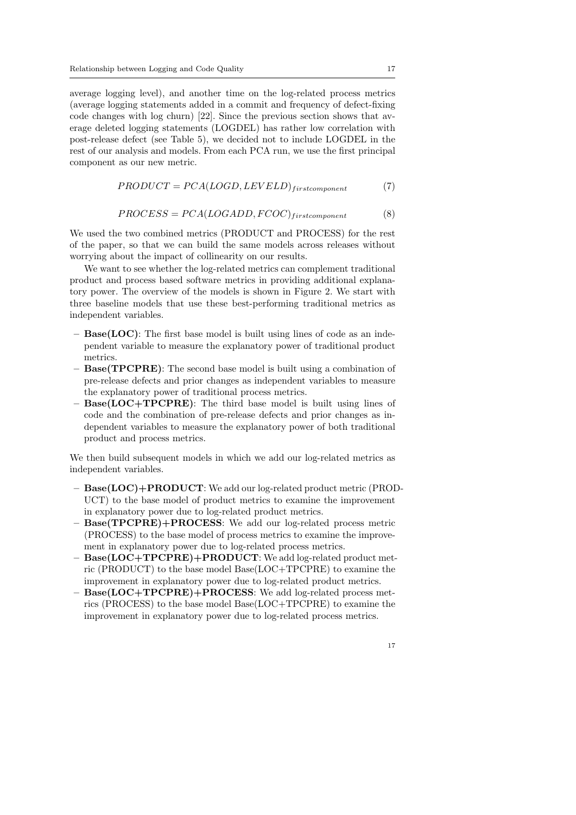average logging level), and another time on the log-related process metrics (average logging statements added in a commit and frequency of defect-fixing code changes with log churn) [22]. Since the previous section shows that average deleted logging statements (LOGDEL) has rather low correlation with post-release defect (see Table 5), we decided not to include LOGDEL in the rest of our analysis and models. From each PCA run, we use the first principal component as our new metric.

$$
PRODUCT = PCA (LOGD, LEVELD)_{first component}
$$
\n(7)

$$
PROCESS = PCA(LOGADD, FCOC)_{firstcomponent}
$$
 (8)

We used the two combined metrics (PRODUCT and PROCESS) for the rest of the paper, so that we can build the same models across releases without worrying about the impact of collinearity on our results.

We want to see whether the log-related metrics can complement traditional product and process based software metrics in providing additional explanatory power. The overview of the models is shown in Figure 2. We start with three baseline models that use these best-performing traditional metrics as independent variables.

- $-$  Base(LOC): The first base model is built using lines of code as an independent variable to measure the explanatory power of traditional product metrics.
- **Base(TPCPRE)**: The second base model is built using a combination of pre-release defects and prior changes as independent variables to measure the explanatory power of traditional process metrics.
- Base(LOC+TPCPRE): The third base model is built using lines of code and the combination of pre-release defects and prior changes as independent variables to measure the explanatory power of both traditional product and process metrics.

We then build subsequent models in which we add our log-related metrics as independent variables.

- Base(LOC)+PRODUCT: We add our log-related product metric (PROD-UCT) to the base model of product metrics to examine the improvement in explanatory power due to log-related product metrics.
- Base(TPCPRE)+PROCESS: We add our log-related process metric (PROCESS) to the base model of process metrics to examine the improvement in explanatory power due to log-related process metrics.
- Base(LOC+TPCPRE)+PRODUCT: We add log-related product metric (PRODUCT) to the base model Base(LOC+TPCPRE) to examine the improvement in explanatory power due to log-related product metrics.
- Base(LOC+TPCPRE)+PROCESS: We add log-related process metrics (PROCESS) to the base model Base(LOC+TPCPRE) to examine the improvement in explanatory power due to log-related process metrics.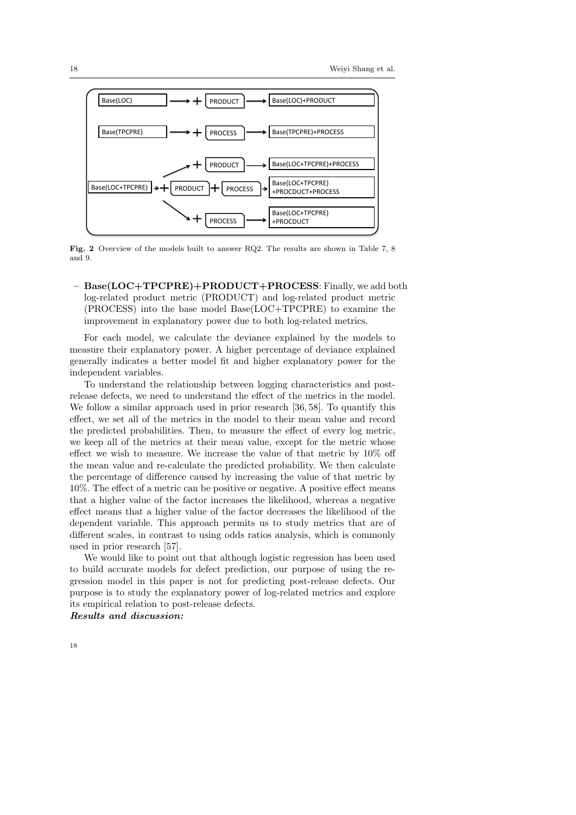

Fig. 2 Overview of the models built to answer RQ2. The results are shown in Table 7, 8 and 9.

– Base(LOC+TPCPRE)+PRODUCT+PROCESS: Finally, we add both log-related product metric (PRODUCT) and log-related product metric (PROCESS) into the base model Base(LOC+TPCPRE) to examine the improvement in explanatory power due to both log-related metrics.

For each model, we calculate the deviance explained by the models to measure their explanatory power. A higher percentage of deviance explained generally indicates a better model fit and higher explanatory power for the independent variables.

To understand the relationship between logging characteristics and postrelease defects, we need to understand the effect of the metrics in the model. We follow a similar approach used in prior research [36, 58]. To quantify this effect, we set all of the metrics in the model to their mean value and record the predicted probabilities. Then, to measure the effect of every log metric, we keep all of the metrics at their mean value, except for the metric whose effect we wish to measure. We increase the value of that metric by 10% off the mean value and re-calculate the predicted probability. We then calculate the percentage of difference caused by increasing the value of that metric by 10%. The effect of a metric can be positive or negative. A positive effect means that a higher value of the factor increases the likelihood, whereas a negative effect means that a higher value of the factor decreases the likelihood of the dependent variable. This approach permits us to study metrics that are of different scales, in contrast to using odds ratios analysis, which is commonly used in prior research [57].

We would like to point out that although logistic regression has been used to build accurate models for defect prediction, our purpose of using the regression model in this paper is not for predicting post-release defects. Our purpose is to study the explanatory power of log-related metrics and explore its empirical relation to post-release defects.

Results and discussion: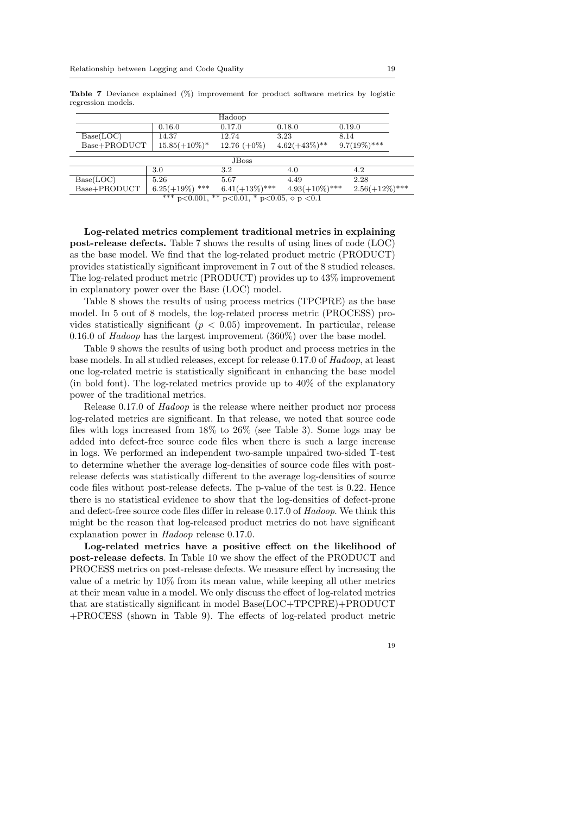|              |                   | Hadoop                                                                                                                                                                                                                                                                                                                 |                   |                   |
|--------------|-------------------|------------------------------------------------------------------------------------------------------------------------------------------------------------------------------------------------------------------------------------------------------------------------------------------------------------------------|-------------------|-------------------|
|              | 0.16.0            | 0.17.0                                                                                                                                                                                                                                                                                                                 | 0.18.0            | 0.19.0            |
| Base(LOC)    | 14.37             | 12.74                                                                                                                                                                                                                                                                                                                  | 3.23              | 8.14              |
| Base+PRODUCT | $15.85(+10\%)*$   | 12.76 $(+0\%)$                                                                                                                                                                                                                                                                                                         | $4.62(+43\%)$ **  | $9.7(19\%)$ ***   |
|              |                   |                                                                                                                                                                                                                                                                                                                        |                   |                   |
|              |                   | <b>JB</b> oss                                                                                                                                                                                                                                                                                                          |                   |                   |
|              | 3.0               | 3.2                                                                                                                                                                                                                                                                                                                    | 4.0               | 4.2               |
| Base(LOC)    | 5.26              | 5.67                                                                                                                                                                                                                                                                                                                   | 4.49              | 2.28              |
| Base+PRODUCT | $6.25(+19\%)$ *** | $6.41(+13\%)$ ***                                                                                                                                                                                                                                                                                                      | $4.93(+10\%)$ *** | $2.56(+12\%)$ *** |
|              | $*** -20.001$     | $*$ $\frac{1}{2}$ $\frac{1}{2}$ $\frac{1}{2}$ $\frac{1}{2}$ $\frac{1}{2}$ $\frac{1}{2}$ $\frac{1}{2}$ $\frac{1}{2}$ $\frac{1}{2}$ $\frac{1}{2}$ $\frac{1}{2}$ $\frac{1}{2}$ $\frac{1}{2}$ $\frac{1}{2}$ $\frac{1}{2}$ $\frac{1}{2}$ $\frac{1}{2}$ $\frac{1}{2}$ $\frac{1}{2}$ $\frac{1}{2}$ $\frac{1}{2}$ $\frac{1}{2$ |                   |                   |

Table 7 Deviance explained (%) improvement for product software metrics by logistic regression models.

 $p<0.01$ , \*  $p<0.05$ ,  $\lozenge$  p  $\leq 0.1$ 

Log-related metrics complement traditional metrics in explaining post-release defects. Table 7 shows the results of using lines of code (LOC) as the base model. We find that the log-related product metric (PRODUCT) provides statistically significant improvement in 7 out of the 8 studied releases. The log-related product metric (PRODUCT) provides up to 43% improvement in explanatory power over the Base (LOC) model.

Table 8 shows the results of using process metrics (TPCPRE) as the base model. In 5 out of 8 models, the log-related process metric (PROCESS) provides statistically significant ( $p < 0.05$ ) improvement. In particular, release 0.16.0 of Hadoop has the largest improvement (360%) over the base model.

Table 9 shows the results of using both product and process metrics in the base models. In all studied releases, except for release 0.17.0 of Hadoop, at least one log-related metric is statistically significant in enhancing the base model (in bold font). The log-related metrics provide up to 40% of the explanatory power of the traditional metrics.

Release 0.17.0 of Hadoop is the release where neither product nor process log-related metrics are significant. In that release, we noted that source code files with logs increased from 18% to 26% (see Table 3). Some logs may be added into defect-free source code files when there is such a large increase in logs. We performed an independent two-sample unpaired two-sided T-test to determine whether the average log-densities of source code files with postrelease defects was statistically different to the average log-densities of source code files without post-release defects. The p-value of the test is 0.22. Hence there is no statistical evidence to show that the log-densities of defect-prone and defect-free source code files differ in release 0.17.0 of Hadoop. We think this might be the reason that log-released product metrics do not have significant explanation power in Hadoop release 0.17.0.

Log-related metrics have a positive effect on the likelihood of post-release defects. In Table 10 we show the effect of the PRODUCT and PROCESS metrics on post-release defects. We measure effect by increasing the value of a metric by 10% from its mean value, while keeping all other metrics at their mean value in a model. We only discuss the effect of log-related metrics that are statistically significant in model Base(LOC+TPCPRE)+PRODUCT +PROCESS (shown in Table 9). The effects of log-related product metric

19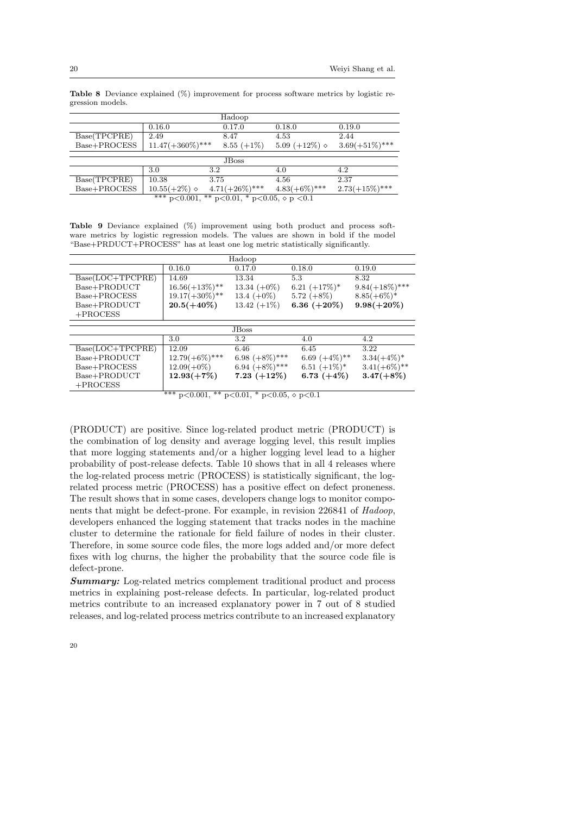| Hadoop                                           |                          |                   |                         |                   |  |  |
|--------------------------------------------------|--------------------------|-------------------|-------------------------|-------------------|--|--|
|                                                  | 0.16.0                   | 0.17.0            | 0.18.0                  | 0.19.0            |  |  |
| Base(TPCPRE)                                     | 2.49                     | 8.47              | 4.53                    | 2.44              |  |  |
| Base+PROCESS                                     | $11.47(+360\%)$ ***      | $8.55 (+1\%)$     | 5.09 $(+12\%) \diamond$ | $3.69(+51\%)$ *** |  |  |
|                                                  |                          |                   |                         |                   |  |  |
| <b>J</b> B <sub>oss</sub>                        |                          |                   |                         |                   |  |  |
|                                                  | 3.0<br>3.2<br>4.2<br>4.0 |                   |                         |                   |  |  |
| Base(TPCPRE)                                     | 10.38                    | 3.75              | 4.56                    | 2.37              |  |  |
| Base+PROCESS                                     | $10.55(+2\%) \diamond$   | $4.71(+26\%)$ *** | $4.83(+6\%)$ ***        | $2.73(+15\%)$ *** |  |  |
| *** p<0.001, ** p<0.01, * p<0.05, $\circ$ p <0.1 |                          |                   |                         |                   |  |  |

Table 8 Deviance explained (%) improvement for process software metrics by logistic regression models.

Table 9 Deviance explained (%) improvement using both product and process software metrics by logistic regression models. The values are shown in bold if the model "Base+PRDUCT+PROCESS" has at least one log metric statistically significantly.

| Hadoop                |                                                               |                   |                  |                   |  |  |  |
|-----------------------|---------------------------------------------------------------|-------------------|------------------|-------------------|--|--|--|
|                       | 0.16.0                                                        | 0.17.0            | 0.18.0           | 0.19.0            |  |  |  |
| Base(LOC+TPCPRE)      | 14.69                                                         | 13.34             | 5.3              | 8.32              |  |  |  |
| Base+PRODUCT          | $16.56(+13\%)$ **                                             | 13.34 $(+0\%)$    | $6.21 (+17%)$    | $9.84(+18\%)$ *** |  |  |  |
| Base+PROCESS          | $19.17(+30\%)$ **                                             | 13.4 $(+0\%)$     | $5.72 (+8\%)$    | $8.85(+6\%)*$     |  |  |  |
| Base+PRODUCT          | $20.5(+40\%)$                                                 | $13.42 (+1\%)$    | 6.36 $(+20\%)$   | $9.98(+20\%)$     |  |  |  |
| $+$ PROCESS           |                                                               |                   |                  |                   |  |  |  |
|                       |                                                               |                   |                  |                   |  |  |  |
|                       |                                                               | <b>JBoss</b>      |                  |                   |  |  |  |
|                       | 3.0                                                           | 3.2               | 4.0              | 4.2               |  |  |  |
| $Base (LOC + TPCPRE)$ | 12.09                                                         | 6.46              | 6.45             | 3.22              |  |  |  |
| Base+PRODUCT          | $12.79(+6\%)***$                                              | 6.98 $(+8\%)$ *** | 6.69 $(+4\%)$ ** | $3.34(+4\%)*$     |  |  |  |
| Base+PROCESS          | $12.09(+0\%)$                                                 | 6.94 $(+8\%)$ *** | $6.51~(+1\%)*$   | $3.41(+6\%)$ **   |  |  |  |
| Base+PRODUCT          | $12.93(+7%)$                                                  | $7.23 (+12\%)$    | 6.73 $(+4\%)$    | $3.47(+8\%)$      |  |  |  |
| $+$ PROCESS           |                                                               |                   |                  |                   |  |  |  |
|                       | *** $p<0.001$ , ** $p<0.01$ , * $p<0.05$ , $\diamond$ $p<0.1$ |                   |                  |                   |  |  |  |

(PRODUCT) are positive. Since log-related product metric (PRODUCT) is the combination of log density and average logging level, this result implies that more logging statements and/or a higher logging level lead to a higher probability of post-release defects. Table 10 shows that in all 4 releases where the log-related process metric (PROCESS) is statistically significant, the logrelated process metric (PROCESS) has a positive effect on defect proneness. The result shows that in some cases, developers change logs to monitor components that might be defect-prone. For example, in revision 226841 of Hadoop, developers enhanced the logging statement that tracks nodes in the machine cluster to determine the rationale for field failure of nodes in their cluster. Therefore, in some source code files, the more logs added and/or more defect fixes with log churns, the higher the probability that the source code file is defect-prone.

Summary: Log-related metrics complement traditional product and process metrics in explaining post-release defects. In particular, log-related product metrics contribute to an increased explanatory power in 7 out of 8 studied releases, and log-related process metrics contribute to an increased explanatory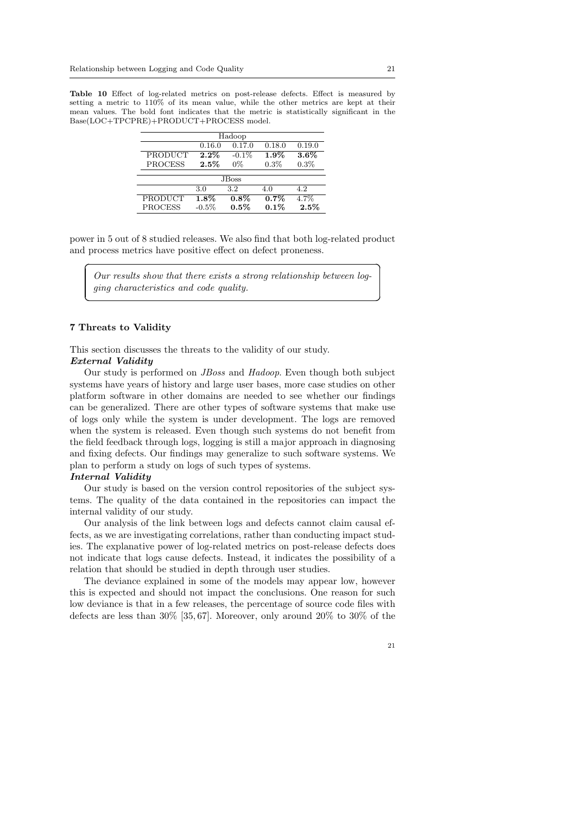Table 10 Effect of log-related metrics on post-release defects. Effect is measured by setting a metric to 110% of its mean value, while the other metrics are kept at their mean values. The bold font indicates that the metric is statistically significant in the Base(LOC+TPCPRE)+PRODUCT+PROCESS model.

| Hadoop         |         |          |         |         |  |  |  |
|----------------|---------|----------|---------|---------|--|--|--|
|                | 0.16.0  | 0.17.0   | 0.18.0  | 0.19.0  |  |  |  |
| PRODUCT        | $2.2\%$ | $-0.1\%$ | $1.9\%$ | $3.6\%$ |  |  |  |
| <b>PROCESS</b> | 2.5%    | $0\%$    | $0.3\%$ | 0.3%    |  |  |  |
|                |         |          |         |         |  |  |  |
| <b>JB</b> oss  |         |          |         |         |  |  |  |
|                | 3.0     | 3.2      | 4.0     | 4.2     |  |  |  |
| PRODUCT        | $1.8\%$ | $0.8\%$  | $0.7\%$ | 4.7%    |  |  |  |
| <b>PROCESS</b> | $-0.5%$ | $0.5\%$  | 0.1%    | 2.5%    |  |  |  |

power in 5 out of 8 studied releases. We also find that both log-related product and process metrics have positive effect on defect proneness.

Our results show that there exists a strong relationship between logging characteristics and code quality.

#### 7 Threats to Validity

 $\overline{a}$ 

✝

This section discusses the threats to the validity of our study. External Validity

Our study is performed on JBoss and Hadoop. Even though both subject systems have years of history and large user bases, more case studies on other platform software in other domains are needed to see whether our findings can be generalized. There are other types of software systems that make use of logs only while the system is under development. The logs are removed when the system is released. Even though such systems do not benefit from the field feedback through logs, logging is still a major approach in diagnosing and fixing defects. Our findings may generalize to such software systems. We plan to perform a study on logs of such types of systems.

#### Internal Validity

Our study is based on the version control repositories of the subject systems. The quality of the data contained in the repositories can impact the internal validity of our study.

Our analysis of the link between logs and defects cannot claim causal effects, as we are investigating correlations, rather than conducting impact studies. The explanative power of log-related metrics on post-release defects does not indicate that logs cause defects. Instead, it indicates the possibility of a relation that should be studied in depth through user studies.

The deviance explained in some of the models may appear low, however this is expected and should not impact the conclusions. One reason for such low deviance is that in a few releases, the percentage of source code files with defects are less than 30% [35, 67]. Moreover, only around 20% to 30% of the

☎

✆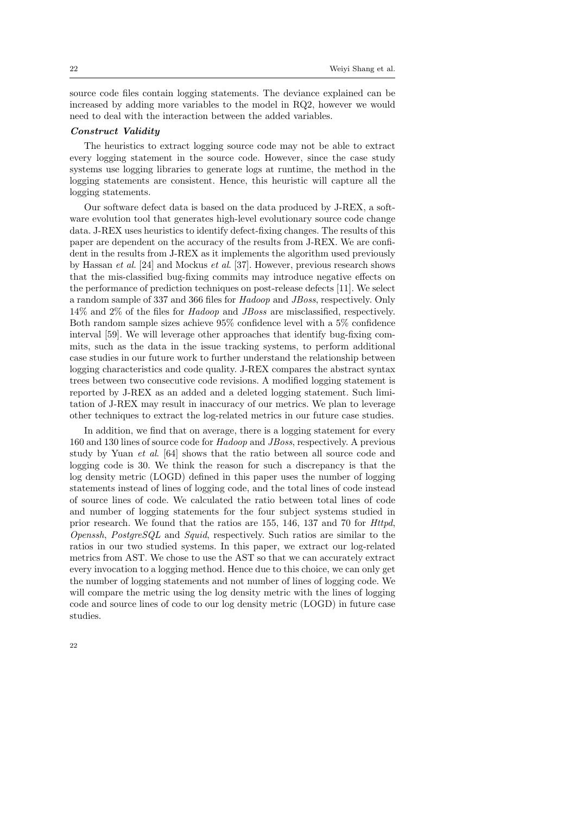source code files contain logging statements. The deviance explained can be increased by adding more variables to the model in RQ2, however we would need to deal with the interaction between the added variables.

#### Construct Validity

The heuristics to extract logging source code may not be able to extract every logging statement in the source code. However, since the case study systems use logging libraries to generate logs at runtime, the method in the logging statements are consistent. Hence, this heuristic will capture all the logging statements.

Our software defect data is based on the data produced by J-REX, a software evolution tool that generates high-level evolutionary source code change data. J-REX uses heuristics to identify defect-fixing changes. The results of this paper are dependent on the accuracy of the results from J-REX. We are confident in the results from J-REX as it implements the algorithm used previously by Hassan et al. [24] and Mockus et al. [37]. However, previous research shows that the mis-classified bug-fixing commits may introduce negative effects on the performance of prediction techniques on post-release defects [11]. We select a random sample of 337 and 366 files for Hadoop and JBoss, respectively. Only 14% and 2% of the files for Hadoop and JBoss are misclassified, respectively. Both random sample sizes achieve 95% confidence level with a 5% confidence interval [59]. We will leverage other approaches that identify bug-fixing commits, such as the data in the issue tracking systems, to perform additional case studies in our future work to further understand the relationship between logging characteristics and code quality. J-REX compares the abstract syntax trees between two consecutive code revisions. A modified logging statement is reported by J-REX as an added and a deleted logging statement. Such limitation of J-REX may result in inaccuracy of our metrics. We plan to leverage other techniques to extract the log-related metrics in our future case studies.

In addition, we find that on average, there is a logging statement for every 160 and 130 lines of source code for Hadoop and JBoss, respectively. A previous study by Yuan et al. [64] shows that the ratio between all source code and logging code is 30. We think the reason for such a discrepancy is that the log density metric (LOGD) defined in this paper uses the number of logging statements instead of lines of logging code, and the total lines of code instead of source lines of code. We calculated the ratio between total lines of code and number of logging statements for the four subject systems studied in prior research. We found that the ratios are 155, 146, 137 and 70 for Httpd, *Openssh, PostgreSQL* and *Squid,* respectively. Such ratios are similar to the ratios in our two studied systems. In this paper, we extract our log-related metrics from AST. We chose to use the AST so that we can accurately extract every invocation to a logging method. Hence due to this choice, we can only get the number of logging statements and not number of lines of logging code. We will compare the metric using the log density metric with the lines of logging code and source lines of code to our log density metric (LOGD) in future case studies.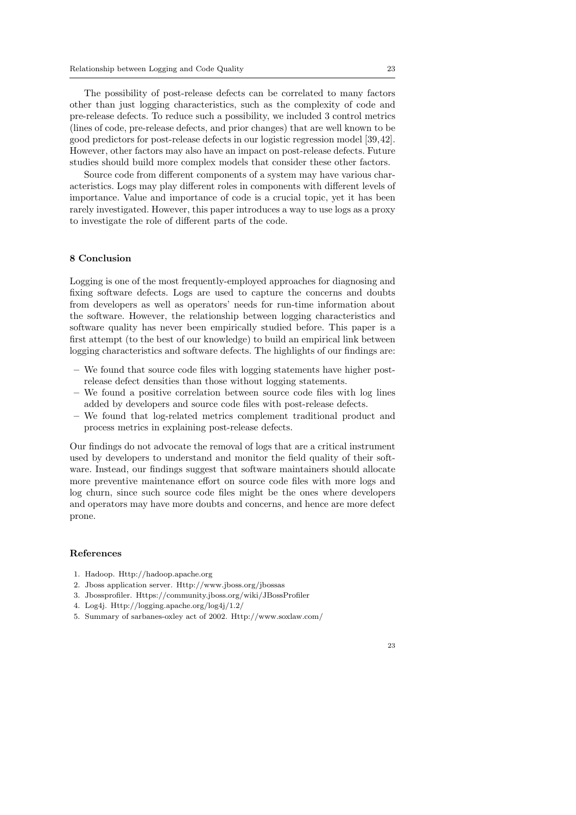The possibility of post-release defects can be correlated to many factors other than just logging characteristics, such as the complexity of code and pre-release defects. To reduce such a possibility, we included 3 control metrics (lines of code, pre-release defects, and prior changes) that are well known to be good predictors for post-release defects in our logistic regression model [39,42]. However, other factors may also have an impact on post-release defects. Future studies should build more complex models that consider these other factors.

Source code from different components of a system may have various characteristics. Logs may play different roles in components with different levels of importance. Value and importance of code is a crucial topic, yet it has been rarely investigated. However, this paper introduces a way to use logs as a proxy to investigate the role of different parts of the code.

## 8 Conclusion

Logging is one of the most frequently-employed approaches for diagnosing and fixing software defects. Logs are used to capture the concerns and doubts from developers as well as operators' needs for run-time information about the software. However, the relationship between logging characteristics and software quality has never been empirically studied before. This paper is a first attempt (to the best of our knowledge) to build an empirical link between logging characteristics and software defects. The highlights of our findings are:

- We found that source code files with logging statements have higher postrelease defect densities than those without logging statements.
- We found a positive correlation between source code files with log lines added by developers and source code files with post-release defects.
- We found that log-related metrics complement traditional product and process metrics in explaining post-release defects.

Our findings do not advocate the removal of logs that are a critical instrument used by developers to understand and monitor the field quality of their software. Instead, our findings suggest that software maintainers should allocate more preventive maintenance effort on source code files with more logs and log churn, since such source code files might be the ones where developers and operators may have more doubts and concerns, and hence are more defect prone.

#### References

- 1. Hadoop. Http://hadoop.apache.org
- 2. Jboss application server. Http://www.jboss.org/jbossas
- 3. Jbossprofiler. Https://community.jboss.org/wiki/JBossProfiler
- 4. Log4j. Http://logging.apache.org/log4j/1.2/
- 5. Summary of sarbanes-oxley act of 2002. Http://www.soxlaw.com/

23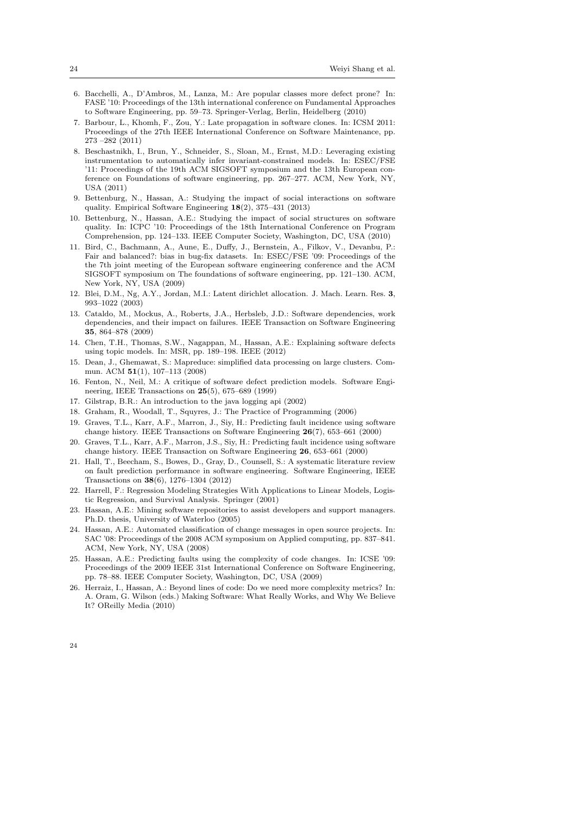- 6. Bacchelli, A., D'Ambros, M., Lanza, M.: Are popular classes more defect prone? In: FASE '10: Proceedings of the 13th international conference on Fundamental Approaches to Software Engineering, pp. 59–73. Springer-Verlag, Berlin, Heidelberg (2010)
- 7. Barbour, L., Khomh, F., Zou, Y.: Late propagation in software clones. In: ICSM 2011: Proceedings of the 27th IEEE International Conference on Software Maintenance, pp. 273 –282 (2011)
- 8. Beschastnikh, I., Brun, Y., Schneider, S., Sloan, M., Ernst, M.D.: Leveraging existing instrumentation to automatically infer invariant-constrained models. In: ESEC/FSE '11: Proceedings of the 19th ACM SIGSOFT symposium and the 13th European conference on Foundations of software engineering, pp. 267–277. ACM, New York, NY, USA (2011)
- 9. Bettenburg, N., Hassan, A.: Studying the impact of social interactions on software quality. Empirical Software Engineering 18(2), 375–431 (2013)
- 10. Bettenburg, N., Hassan, A.E.: Studying the impact of social structures on software quality. In: ICPC '10: Proceedings of the 18th International Conference on Program Comprehension, pp. 124–133. IEEE Computer Society, Washington, DC, USA (2010)
- 11. Bird, C., Bachmann, A., Aune, E., Duffy, J., Bernstein, A., Filkov, V., Devanbu, P.: Fair and balanced?: bias in bug-fix datasets. In: ESEC/FSE '09: Proceedings of the the 7th joint meeting of the European software engineering conference and the ACM SIGSOFT symposium on The foundations of software engineering, pp. 121–130. ACM, New York, NY, USA (2009)
- 12. Blei, D.M., Ng, A.Y., Jordan, M.I.: Latent dirichlet allocation. J. Mach. Learn. Res. 3, 993–1022 (2003)
- 13. Cataldo, M., Mockus, A., Roberts, J.A., Herbsleb, J.D.: Software dependencies, work dependencies, and their impact on failures. IEEE Transaction on Software Engineering 35, 864–878 (2009)
- 14. Chen, T.H., Thomas, S.W., Nagappan, M., Hassan, A.E.: Explaining software defects using topic models. In: MSR, pp. 189–198. IEEE (2012)
- 15. Dean, J., Ghemawat, S.: Mapreduce: simplified data processing on large clusters. Commun. ACM 51(1), 107–113 (2008)
- 16. Fenton, N., Neil, M.: A critique of software defect prediction models. Software Engineering, IEEE Transactions on 25(5), 675–689 (1999)
- 17. Gilstrap, B.R.: An introduction to the java logging api (2002)
- 18. Graham, R., Woodall, T., Squyres, J.: The Practice of Programming (2006)
- 19. Graves, T.L., Karr, A.F., Marron, J., Siy, H.: Predicting fault incidence using software change history. IEEE Transactions on Software Engineering 26(7), 653–661 (2000)
- 20. Graves, T.L., Karr, A.F., Marron, J.S., Siy, H.: Predicting fault incidence using software change history. IEEE Transaction on Software Engineering 26, 653–661 (2000)
- 21. Hall, T., Beecham, S., Bowes, D., Gray, D., Counsell, S.: A systematic literature review on fault prediction performance in software engineering. Software Engineering, IEEE Transactions on 38(6), 1276–1304 (2012)
- 22. Harrell, F.: Regression Modeling Strategies With Applications to Linear Models, Logistic Regression, and Survival Analysis. Springer (2001)
- 23. Hassan, A.E.: Mining software repositories to assist developers and support managers. Ph.D. thesis, University of Waterloo (2005)
- 24. Hassan, A.E.: Automated classification of change messages in open source projects. In: SAC '08: Proceedings of the 2008 ACM symposium on Applied computing, pp. 837–841. ACM, New York, NY, USA (2008)
- 25. Hassan, A.E.: Predicting faults using the complexity of code changes. In: ICSE '09: Proceedings of the 2009 IEEE 31st International Conference on Software Engineering, pp. 78–88. IEEE Computer Society, Washington, DC, USA (2009)
- 26. Herraiz, I., Hassan, A.: Beyond lines of code: Do we need more complexity metrics? In: A. Oram, G. Wilson (eds.) Making Software: What Really Works, and Why We Believe It? OReilly Media (2010)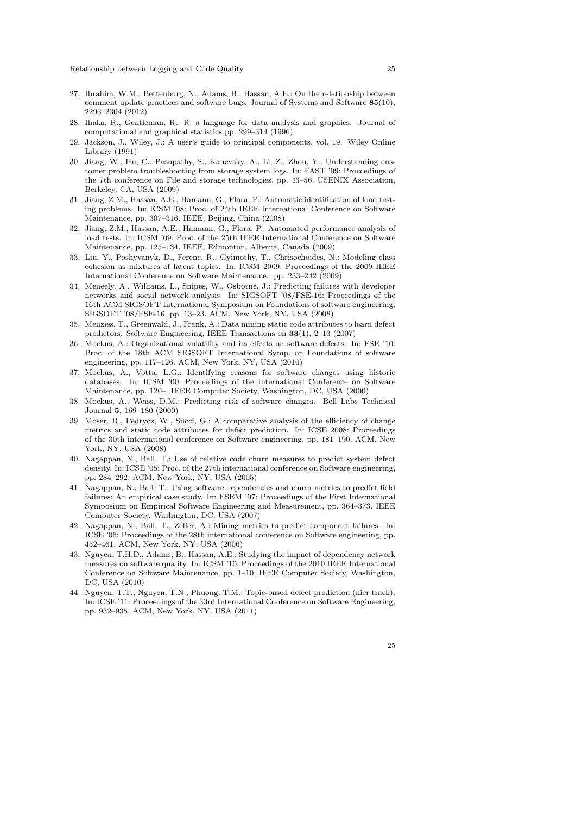- 27. Ibrahim, W.M., Bettenburg, N., Adams, B., Hassan, A.E.: On the relationship between comment update practices and software bugs. Journal of Systems and Software 85(10), 2293–2304 (2012)
- 28. Ihaka, R., Gentleman, R.: R: a language for data analysis and graphics. Journal of computational and graphical statistics pp. 299–314 (1996)
- 29. Jackson, J., Wiley, J.: A user's guide to principal components, vol. 19. Wiley Online Library (1991)
- 30. Jiang, W., Hu, C., Pasupathy, S., Kanevsky, A., Li, Z., Zhou, Y.: Understanding customer problem troubleshooting from storage system logs. In: FAST '09: Proccedings of the 7th conference on File and storage technologies, pp. 43–56. USENIX Association, Berkeley, CA, USA (2009)
- 31. Jiang, Z.M., Hassan, A.E., Hamann, G., Flora, P.: Automatic identification of load testing problems. In: ICSM '08: Proc. of 24th IEEE International Conference on Software Maintenance, pp. 307–316. IEEE, Beijing, China (2008)
- 32. Jiang, Z.M., Hassan, A.E., Hamann, G., Flora, P.: Automated performance analysis of load tests. In: ICSM '09: Proc. of the 25th IEEE International Conference on Software Maintenance, pp. 125–134. IEEE, Edmonton, Alberta, Canada (2009)
- 33. Liu, Y., Poshyvanyk, D., Ferenc, R., Gyimothy, T., Chrisochoides, N.: Modeling class cohesion as mixtures of latent topics. In: ICSM 2009: Proceedings of the 2009 IEEE International Conference on Software Maintenance., pp. 233–242 (2009)
- 34. Meneely, A., Williams, L., Snipes, W., Osborne, J.: Predicting failures with developer networks and social network analysis. In: SIGSOFT '08/FSE-16: Proceedings of the 16th ACM SIGSOFT International Symposium on Foundations of software engineering, SIGSOFT '08/FSE-16, pp. 13–23. ACM, New York, NY, USA (2008)
- 35. Menzies, T., Greenwald, J., Frank, A.: Data mining static code attributes to learn defect predictors. Software Engineering, IEEE Transactions on 33(1), 2–13 (2007)
- 36. Mockus, A.: Organizational volatility and its effects on software defects. In: FSE '10: Proc. of the 18th ACM SIGSOFT International Symp. on Foundations of software engineering, pp. 117–126. ACM, New York, NY, USA (2010)
- 37. Mockus, A., Votta, L.G.: Identifying reasons for software changes using historic databases. In: ICSM '00: Proceedings of the International Conference on Software Maintenance, pp. 120–. IEEE Computer Society, Washington, DC, USA (2000)
- 38. Mockus, A., Weiss, D.M.: Predicting risk of software changes. Bell Labs Technical Journal 5, 169–180 (2000)
- 39. Moser, R., Pedrycz, W., Succi, G.: A comparative analysis of the efficiency of change metrics and static code attributes for defect prediction. In: ICSE 2008: Proceedings of the 30th international conference on Software engineering, pp. 181–190. ACM, New York, NY, USA (2008)
- 40. Nagappan, N., Ball, T.: Use of relative code churn measures to predict system defect density. In: ICSE '05: Proc. of the 27th international conference on Software engineering, pp. 284–292. ACM, New York, NY, USA (2005)
- 41. Nagappan, N., Ball, T.: Using software dependencies and churn metrics to predict field failures: An empirical case study. In: ESEM '07: Proceedings of the First International Symposium on Empirical Software Engineering and Measurement, pp. 364–373. IEEE Computer Society, Washington, DC, USA (2007)
- 42. Nagappan, N., Ball, T., Zeller, A.: Mining metrics to predict component failures. In: ICSE '06: Proceedings of the 28th international conference on Software engineering, pp. 452–461. ACM, New York, NY, USA (2006)
- 43. Nguyen, T.H.D., Adams, B., Hassan, A.E.: Studying the impact of dependency network measures on software quality. In: ICSM '10: Proceedings of the 2010 IEEE International Conference on Software Maintenance, pp. 1–10. IEEE Computer Society, Washington, DC, USA (2010)
- 44. Nguyen, T.T., Nguyen, T.N., Phuong, T.M.: Topic-based defect prediction (nier track). In: ICSE '11: Proceedings of the 33rd International Conference on Software Engineering, pp. 932–935. ACM, New York, NY, USA (2011)

25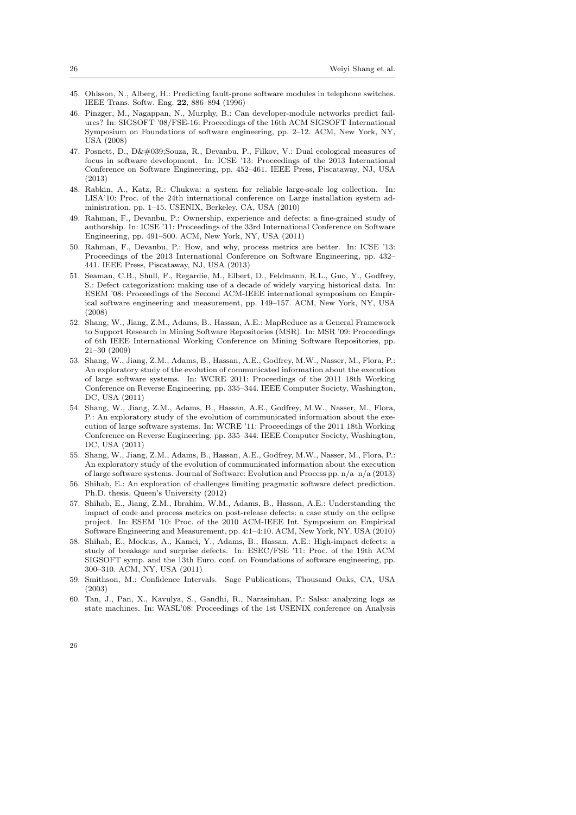- 45. Ohlsson, N., Alberg, H.: Predicting fault-prone software modules in telephone switches. IEEE Trans. Softw. Eng. 22, 886–894 (1996)
- 46. Pinzger, M., Nagappan, N., Murphy, B.: Can developer-module networks predict failures? In: SIGSOFT '08/FSE-16: Proceedings of the 16th ACM SIGSOFT International Symposium on Foundations of software engineering, pp. 2–12. ACM, New York, NY, USA (2008)
- 47. Posnett, D., D'Souza, R., Devanbu, P., Filkov, V.: Dual ecological measures of focus in software development. In: ICSE '13: Proceedings of the 2013 International Conference on Software Engineering, pp. 452–461. IEEE Press, Piscataway, NJ, USA (2013)
- 48. Rabkin, A., Katz, R.: Chukwa: a system for reliable large-scale log collection. In: LISA'10: Proc. of the 24th international conference on Large installation system administration, pp. 1–15. USENIX, Berkeley, CA, USA (2010)
- 49. Rahman, F., Devanbu, P.: Ownership, experience and defects: a fine-grained study of authorship. In: ICSE '11: Proceedings of the 33rd International Conference on Software Engineering, pp. 491–500. ACM, New York, NY, USA (2011)
- 50. Rahman, F., Devanbu, P.: How, and why, process metrics are better. In: ICSE '13: Proceedings of the 2013 International Conference on Software Engineering, pp. 432– 441. IEEE Press, Piscataway, NJ, USA (2013)
- 51. Seaman, C.B., Shull, F., Regardie, M., Elbert, D., Feldmann, R.L., Guo, Y., Godfrey, S.: Defect categorization: making use of a decade of widely varying historical data. In: ESEM '08: Proceedings of the Second ACM-IEEE international symposium on Empirical software engineering and measurement, pp. 149–157. ACM, New York, NY, USA (2008)
- 52. Shang, W., Jiang, Z.M., Adams, B., Hassan, A.E.: MapReduce as a General Framework to Support Research in Mining Software Repositories (MSR). In: MSR '09: Proceedings of 6th IEEE International Working Conference on Mining Software Repositories, pp. 21–30 (2009)
- 53. Shang, W., Jiang, Z.M., Adams, B., Hassan, A.E., Godfrey, M.W., Nasser, M., Flora, P.: An exploratory study of the evolution of communicated information about the execution of large software systems. In: WCRE 2011: Proceedings of the 2011 18th Working Conference on Reverse Engineering, pp. 335–344. IEEE Computer Society, Washington, DC, USA (2011)
- 54. Shang, W., Jiang, Z.M., Adams, B., Hassan, A.E., Godfrey, M.W., Nasser, M., Flora, P.: An exploratory study of the evolution of communicated information about the execution of large software systems. In: WCRE '11: Proceedings of the 2011 18th Working Conference on Reverse Engineering, pp. 335–344. IEEE Computer Society, Washington, DC, USA (2011)
- 55. Shang, W., Jiang, Z.M., Adams, B., Hassan, A.E., Godfrey, M.W., Nasser, M., Flora, P.: An exploratory study of the evolution of communicated information about the execution of large software systems. Journal of Software: Evolution and Process pp.  $n/a-n/a$  (2013)
- 56. Shihab, E.: An exploration of challenges limiting pragmatic software defect prediction. Ph.D. thesis, Queen's University (2012)
- 57. Shihab, E., Jiang, Z.M., Ibrahim, W.M., Adams, B., Hassan, A.E.: Understanding the impact of code and process metrics on post-release defects: a case study on the eclipse project. In: ESEM '10: Proc. of the 2010 ACM-IEEE Int. Symposium on Empirical Software Engineering and Measurement, pp. 4:1–4:10. ACM, New York, NY, USA (2010)
- 58. Shihab, E., Mockus, A., Kamei, Y., Adams, B., Hassan, A.E.: High-impact defects: a study of breakage and surprise defects. In: ESEC/FSE '11: Proc. of the 19th ACM SIGSOFT symp. and the 13th Euro. conf. on Foundations of software engineering, pp. 300–310. ACM, NY, USA (2011)
- 59. Smithson, M.: Confidence Intervals. Sage Publications, Thousand Oaks, CA, USA (2003)
- 60. Tan, J., Pan, X., Kavulya, S., Gandhi, R., Narasimhan, P.: Salsa: analyzing logs as state machines. In: WASL'08: Proceedings of the 1st USENIX conference on Analysis